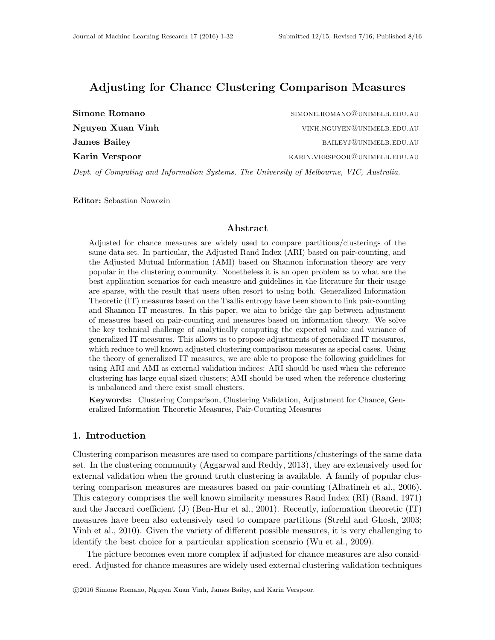# Adjusting for Chance Clustering Comparison Measures

| Simone Romano       | SIMONE.ROMANO@UNIMELB.EDU.AU  |
|---------------------|-------------------------------|
| Nguyen Xuan Vinh    | VINH.NGUYEN@UNIMELB.EDU.AU    |
| <b>James Bailey</b> | BAILEYJ@UNIMELB.EDU.AU        |
| Karin Verspoor      | KARIN.VERSPOOR@UNIMELB.EDU.AU |
|                     |                               |

Dept. of Computing and Information Systems, The University of Melbourne, VIC, Australia.

Editor: Sebastian Nowozin

### Abstract

Adjusted for chance measures are widely used to compare partitions/clusterings of the same data set. In particular, the Adjusted Rand Index (ARI) based on pair-counting, and the Adjusted Mutual Information (AMI) based on Shannon information theory are very popular in the clustering community. Nonetheless it is an open problem as to what are the best application scenarios for each measure and guidelines in the literature for their usage are sparse, with the result that users often resort to using both. Generalized Information Theoretic (IT) measures based on the Tsallis entropy have been shown to link pair-counting and Shannon IT measures. In this paper, we aim to bridge the gap between adjustment of measures based on pair-counting and measures based on information theory. We solve the key technical challenge of analytically computing the expected value and variance of generalized IT measures. This allows us to propose adjustments of generalized IT measures, which reduce to well known adjusted clustering comparison measures as special cases. Using the theory of generalized IT measures, we are able to propose the following guidelines for using ARI and AMI as external validation indices: ARI should be used when the reference clustering has large equal sized clusters; AMI should be used when the reference clustering is unbalanced and there exist small clusters.

Keywords: Clustering Comparison, Clustering Validation, Adjustment for Chance, Generalized Information Theoretic Measures, Pair-Counting Measures

### 1. Introduction

Clustering comparison measures are used to compare partitions/clusterings of the same data set. In the clustering community (Aggarwal and Reddy, 2013), they are extensively used for external validation when the ground truth clustering is available. A family of popular clustering comparison measures are measures based on pair-counting (Albatineh et al., 2006). This category comprises the well known similarity measures Rand Index (RI) (Rand, 1971) and the Jaccard coefficient  $(J)$  (Ben-Hur et al., 2001). Recently, information theoretic  $(IT)$ measures have been also extensively used to compare partitions (Strehl and Ghosh, 2003; Vinh et al., 2010). Given the variety of different possible measures, it is very challenging to identify the best choice for a particular application scenario (Wu et al., 2009).

The picture becomes even more complex if adjusted for chance measures are also considered. Adjusted for chance measures are widely used external clustering validation techniques

c 2016 Simone Romano, Nguyen Xuan Vinh, James Bailey, and Karin Verspoor.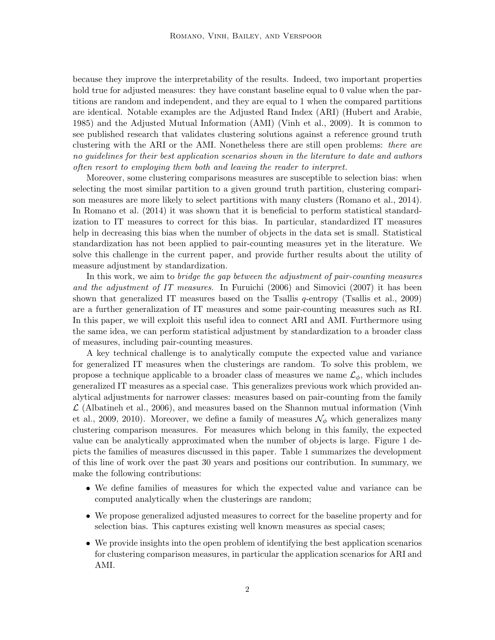because they improve the interpretability of the results. Indeed, two important properties hold true for adjusted measures: they have constant baseline equal to 0 value when the partitions are random and independent, and they are equal to 1 when the compared partitions are identical. Notable examples are the Adjusted Rand Index (ARI) (Hubert and Arabie, 1985) and the Adjusted Mutual Information (AMI) (Vinh et al., 2009). It is common to see published research that validates clustering solutions against a reference ground truth clustering with the ARI or the AMI. Nonetheless there are still open problems: there are no guidelines for their best application scenarios shown in the literature to date and authors often resort to employing them both and leaving the reader to interpret.

Moreover, some clustering comparisons measures are susceptible to selection bias: when selecting the most similar partition to a given ground truth partition, clustering comparison measures are more likely to select partitions with many clusters (Romano et al., 2014). In Romano et al. (2014) it was shown that it is beneficial to perform statistical standardization to IT measures to correct for this bias. In particular, standardized IT measures help in decreasing this bias when the number of objects in the data set is small. Statistical standardization has not been applied to pair-counting measures yet in the literature. We solve this challenge in the current paper, and provide further results about the utility of measure adjustment by standardization.

In this work, we aim to bridge the gap between the adjustment of pair-counting measures and the adjustment of IT measures. In Furuichi (2006) and Simovici (2007) it has been shown that generalized IT measures based on the Tsallis  $q$ -entropy (Tsallis et al., 2009) are a further generalization of IT measures and some pair-counting measures such as RI. In this paper, we will exploit this useful idea to connect ARI and AMI. Furthermore using the same idea, we can perform statistical adjustment by standardization to a broader class of measures, including pair-counting measures.

A key technical challenge is to analytically compute the expected value and variance for generalized IT measures when the clusterings are random. To solve this problem, we propose a technique applicable to a broader class of measures we name  $\mathcal{L}_{\phi}$ , which includes generalized IT measures as a special case. This generalizes previous work which provided analytical adjustments for narrower classes: measures based on pair-counting from the family  $\mathcal L$  (Albatineh et al., 2006), and measures based on the Shannon mutual information (Vinh) et al., 2009, 2010). Moreover, we define a family of measures  $\mathcal{N}_{\phi}$  which generalizes many clustering comparison measures. For measures which belong in this family, the expected value can be analytically approximated when the number of objects is large. Figure 1 depicts the families of measures discussed in this paper. Table 1 summarizes the development of this line of work over the past 30 years and positions our contribution. In summary, we make the following contributions:

- We define families of measures for which the expected value and variance can be computed analytically when the clusterings are random;
- We propose generalized adjusted measures to correct for the baseline property and for selection bias. This captures existing well known measures as special cases;
- We provide insights into the open problem of identifying the best application scenarios for clustering comparison measures, in particular the application scenarios for ARI and AMI.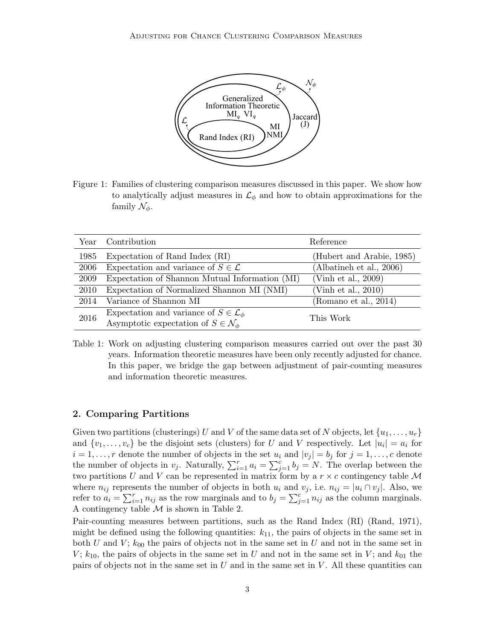

Figure 1: Families of clustering comparison measures discussed in this paper. We show how to analytically adjust measures in  $\mathcal{L}_{\phi}$  and how to obtain approximations for the family  $\mathcal{N}_{\phi}$ .

|      | Year Contribution                                      | Reference                 |
|------|--------------------------------------------------------|---------------------------|
| 1985 | Expectation of Rand Index (RI)                         | (Hubert and Arabie, 1985) |
| 2006 | Expectation and variance of $S \in \mathcal{L}$        | (Albatineh et al., 2006)  |
| 2009 | Expectation of Shannon Mutual Information (MI)         | (Vinh et al., $2009$ )    |
| 2010 | Expectation of Normalized Shannon MI (NMI)             | (Vinh et al., $2010$ )    |
| 2014 | Variance of Shannon MI                                 | (Romano et al., 2014)     |
| 2016 | Expectation and variance of $S \in \mathcal{L}_{\phi}$ | This Work                 |
|      | Asymptotic expectation of $S \in \mathcal{N}_{\phi}$   |                           |

Table 1: Work on adjusting clustering comparison measures carried out over the past 30 years. Information theoretic measures have been only recently adjusted for chance. In this paper, we bridge the gap between adjustment of pair-counting measures and information theoretic measures.

## 2. Comparing Partitions

Given two partitions (clusterings) U and V of the same data set of N objects, let  $\{u_1, \ldots, u_r\}$ and  $\{v_1, \ldots, v_c\}$  be the disjoint sets (clusters) for U and V respectively. Let  $|u_i| = a_i$  for  $i = 1, \ldots, r$  denote the number of objects in the set  $u_i$  and  $|v_j| = b_j$  for  $j = 1, \ldots, c$  denote the number of objects in  $v_j$ . Naturally,  $\sum_{i=1}^r a_i = \sum_{j=1}^c b_j = N$ . The overlap between the two partitions U and V can be represented in matrix form by a  $r \times c$  contingency table M where  $n_{ij}$  represents the number of objects in both  $u_i$  and  $v_j$ , i.e.  $n_{ij} = |u_i \cap v_j|$ . Also, we refer to  $a_i = \sum_{i=1}^r n_{ij}$  as the row marginals and to  $b_j = \sum_{j=1}^c n_{ij}$  as the column marginals. A contingency table  $\mathcal M$  is shown in Table 2.

Pair-counting measures between partitions, such as the Rand Index (RI) (Rand, 1971), might be defined using the following quantities:  $k_{11}$ , the pairs of objects in the same set in both U and V;  $k_{00}$  the pairs of objects not in the same set in U and not in the same set in  $V$ ;  $k_{10}$ , the pairs of objects in the same set in U and not in the same set in V; and  $k_{01}$  the pairs of objects not in the same set in  $U$  and in the same set in  $V$ . All these quantities can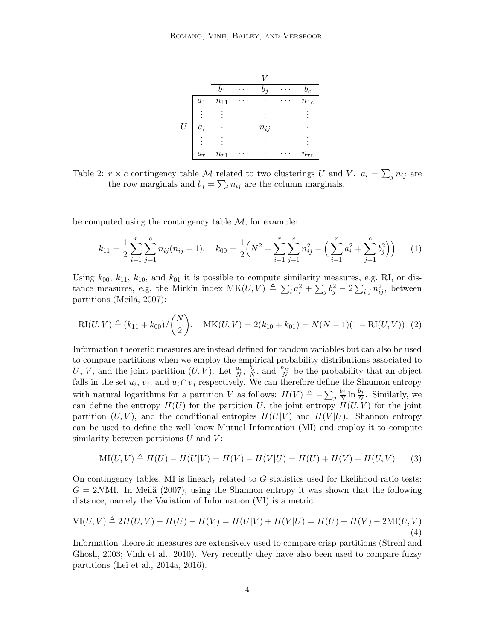|   |          | $b_1$    | $b_j$    | $b_c$    |
|---|----------|----------|----------|----------|
|   | $a_1$    | $n_{11}$ | ٠        | $n_{1c}$ |
|   | $\vdots$ |          |          |          |
| U | $a_i$    |          | $n_{ij}$ |          |
|   | $\vdots$ |          |          |          |
|   | $a_r$    | $n_{r1}$ | ٠        | $n_{rc}$ |

Table 2:  $r \times c$  contingency table M related to two clusterings U and V.  $a_i = \sum_j n_{ij}$  are the row marginals and  $b_j = \sum_i n_{ij}$  are the column marginals.

be computed using the contingency table  $M$ , for example:

$$
k_{11} = \frac{1}{2} \sum_{i=1}^{r} \sum_{j=1}^{c} n_{ij} (n_{ij} - 1), \quad k_{00} = \frac{1}{2} \Big( N^2 + \sum_{i=1}^{r} \sum_{j=1}^{c} n_{ij}^2 - \Big( \sum_{i=1}^{r} a_i^2 + \sum_{j=1}^{c} b_j^2 \Big) \Big) \tag{1}
$$

Using  $k_{00}$ ,  $k_{11}$ ,  $k_{10}$ , and  $k_{01}$  it is possible to compute similarity measures, e.g. RI, or distance measures, e.g. the Mirkin index  $MK(U, V) \triangleq \sum_i a_i^2 + \sum_j b_j^2 - 2 \sum_{i,j} n_{ij}^2$ , between partitions (Meilă, 2007):

$$
RI(U, V) \triangleq (k_{11} + k_{00}) / {N \choose 2}, \quad MK(U, V) = 2(k_{10} + k_{01}) = N(N - 1)(1 - RI(U, V)) \tag{2}
$$

Information theoretic measures are instead defined for random variables but can also be used to compare partitions when we employ the empirical probability distributions associated to U, V, and the joint partition  $(U, V)$ . Let  $\frac{a_i}{N}$ ,  $\frac{b_j}{N}$  $\frac{b_j}{N}$ , and  $\frac{n_{ij}}{N}$  be the probability that an object falls in the set  $u_i, v_j$ , and  $u_i \cap v_j$  respectively. We can therefore define the Shannon entropy with natural logarithms for a partition V as follows:  $H(V) \triangleq -\sum_j$  $b_j$  $\frac{b_j}{N} \ln \frac{b_j}{N}$ . Similarly, we can define the entropy  $H(U)$  for the partition U, the joint entropy  $H(U, V)$  for the joint partition  $(U, V)$ , and the conditional entropies  $H(U|V)$  and  $H(V|U)$ . Shannon entropy can be used to define the well know Mutual Information (MI) and employ it to compute similarity between partitions  $U$  and  $V$ :

$$
MI(U, V) \triangleq H(U) - H(U|V) = H(V) - H(V|U) = H(U) + H(V) - H(U, V)
$$
 (3)

On contingency tables, MI is linearly related to G-statistics used for likelihood-ratio tests:  $G = 2NMI$ . In Meil $\alpha$  (2007), using the Shannon entropy it was shown that the following distance, namely the Variation of Information (VI) is a metric:

$$
VI(U, V) \triangleq 2H(U, V) - H(U) - H(V) = H(U|V) + H(V|U) = H(U) + H(V) - 2MI(U, V)
$$
\n(4)

Information theoretic measures are extensively used to compare crisp partitions (Strehl and Ghosh, 2003; Vinh et al., 2010). Very recently they have also been used to compare fuzzy partitions (Lei et al., 2014a, 2016).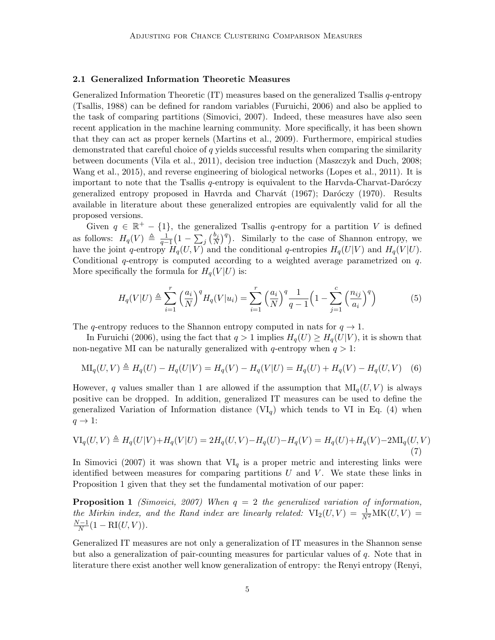### 2.1 Generalized Information Theoretic Measures

Generalized Information Theoretic (IT) measures based on the generalized Tsallis q-entropy (Tsallis, 1988) can be defined for random variables (Furuichi, 2006) and also be applied to the task of comparing partitions (Simovici, 2007). Indeed, these measures have also seen recent application in the machine learning community. More specifically, it has been shown that they can act as proper kernels (Martins et al., 2009). Furthermore, empirical studies demonstrated that careful choice of q yields successful results when comparing the similarity between documents (Vila et al., 2011), decision tree induction (Maszczyk and Duch, 2008; Wang et al., 2015), and reverse engineering of biological networks (Lopes et al., 2011). It is important to note that the Tsallis  $q$ -entropy is equivalent to the Harvda-Charvat-Daróczy generalized entropy proposed in Havrda and Charvát (1967); Daróczy (1970). Results available in literature about these generalized entropies are equivalently valid for all the proposed versions.

Given  $q \in \mathbb{R}^+ - \{1\}$ , the generalized Tsallis q-entropy for a partition V is defined as follows:  $H_q(V) \triangleq \frac{1}{q-1} \left(1 - \sum_j \left(\frac{b_j}{N}\right)^q\right)$ . Similarly to the case of Shannon entropy, we have the joint q-entropy  $H_q(U, V)$  and the conditional q-entropies  $H_q(U|V)$  and  $H_q(V|U)$ . Conditional  $q$ -entropy is computed according to a weighted average parametrized on  $q$ . More specifically the formula for  $H_q(V|U)$  is:

$$
H_q(V|U) \triangleq \sum_{i=1}^r \left(\frac{a_i}{N}\right)^q H_q(V|u_i) = \sum_{i=1}^r \left(\frac{a_i}{N}\right)^q \frac{1}{q-1} \left(1 - \sum_{j=1}^c \left(\frac{n_{ij}}{a_i}\right)^q\right) \tag{5}
$$

The q-entropy reduces to the Shannon entropy computed in nats for  $q \to 1$ .

In Furuichi (2006), using the fact that  $q > 1$  implies  $H_q(U) \geq H_q(U|V)$ , it is shown that non-negative MI can be naturally generalized with q-entropy when  $q > 1$ :

$$
MI_q(U, V) \triangleq H_q(U) - H_q(U|V) = H_q(V) - H_q(V|U) = H_q(U) + H_q(V) - H_q(U, V)
$$
 (6)

However, q values smaller than 1 are allowed if the assumption that  $\text{MI}_q(U, V)$  is always positive can be dropped. In addition, generalized IT measures can be used to define the generalized Variation of Information distance  $(VI_{q})$  which tends to VI in Eq. (4) when  $q \rightarrow 1$ :

$$
VI_q(U, V) \triangleq H_q(U|V) + H_q(V|U) = 2H_q(U, V) - H_q(U) - H_q(V) = H_q(U) + H_q(V) - 2MI_q(U, V)
$$
\n(7)

In Simovici (2007) it was shown that  $VI_q$  is a proper metric and interesting links were identified between measures for comparing partitions  $U$  and  $V$ . We state these links in Proposition 1 given that they set the fundamental motivation of our paper:

**Proposition 1** (Simovici, 2007) When  $q = 2$  the generalized variation of information, the Mirkin index, and the Rand index are linearly related:  $VI_2(U, V) = \frac{1}{N^2}MK(U, V) =$  $N-1$  $\frac{N-1}{N}(1 - \text{RI}(U, V)).$ 

Generalized IT measures are not only a generalization of IT measures in the Shannon sense but also a generalization of pair-counting measures for particular values of  $q$ . Note that in literature there exist another well know generalization of entropy: the Renyi entropy (Renyi,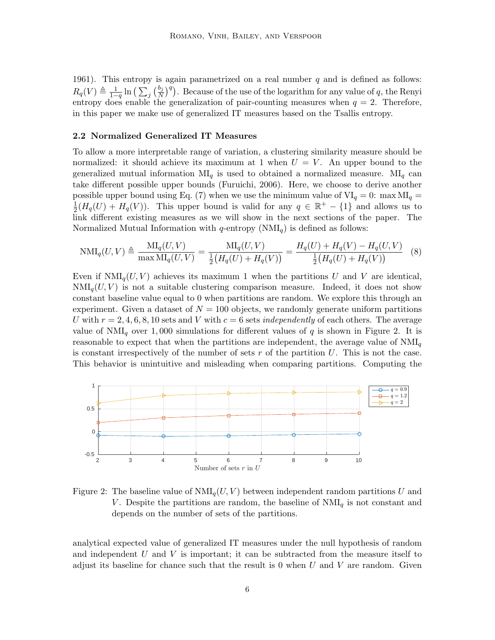1961). This entropy is again parametrized on a real number  $q$  and is defined as follows:  $R_q(V) \triangleq \frac{1}{1-q} \ln \left( \sum_j \left( \frac{b_j}{N} \right)^q \right)$ . Because of the use of the logarithm for any value of q, the Renyi entropy does enable the generalization of pair-counting measures when  $q = 2$ . Therefore, in this paper we make use of generalized IT measures based on the Tsallis entropy.

#### 2.2 Normalized Generalized IT Measures

To allow a more interpretable range of variation, a clustering similarity measure should be normalized: it should achieve its maximum at 1 when  $U = V$ . An upper bound to the generalized mutual information  $\text{MI}_q$  is used to obtained a normalized measure.  $\text{MI}_q$  can take different possible upper bounds (Furuichi, 2006). Here, we choose to derive another possible upper bound using Eq. (7) when we use the minimum value of  $VI_q = 0$ : max  $MI_q =$ 1  $\frac{1}{2}(H_q(U) + H_q(V))$ . This upper bound is valid for any  $q \in \mathbb{R}^+ - \{1\}$  and allows us to link different existing measures as we will show in the next sections of the paper. The Normalized Mutual Information with q-entropy  $(NM_{q})$  is defined as follows:

$$
\text{NMI}_q(U,V) \triangleq \frac{\text{MI}_q(U,V)}{\max \text{MI}_q(U,V)} = \frac{\text{MI}_q(U,V)}{\frac{1}{2}(H_q(U) + H_q(V))} = \frac{H_q(U) + H_q(V) - H_q(U,V)}{\frac{1}{2}(H_q(U) + H_q(V))} \tag{8}
$$

Even if  $\text{NMI}_q(U, V)$  achieves its maximum 1 when the partitions U and V are identical,  $NMI_q(U, V)$  is not a suitable clustering comparison measure. Indeed, it does not show constant baseline value equal to 0 when partitions are random. We explore this through an experiment. Given a dataset of  $N = 100$  objects, we randomly generate uniform partitions U with  $r = 2, 4, 6, 8, 10$  sets and V with  $c = 6$  sets *independently* of each others. The average value of  $NMI_q$  over 1,000 simulations for different values of q is shown in Figure 2. It is reasonable to expect that when the partitions are independent, the average value of  $NMI_q$ is constant irrespectively of the number of sets  $r$  of the partition  $U$ . This is not the case. This behavior is unintuitive and misleading when comparing partitions. Computing the



Figure 2: The baseline value of  $NMI_{q}(U, V)$  between independent random partitions U and V. Despite the partitions are random, the baseline of  $NMI_q$  is not constant and depends on the number of sets of the partitions.

analytical expected value of generalized IT measures under the null hypothesis of random and independent  $U$  and  $V$  is important; it can be subtracted from the measure itself to adjust its baseline for chance such that the result is 0 when  $U$  and  $V$  are random. Given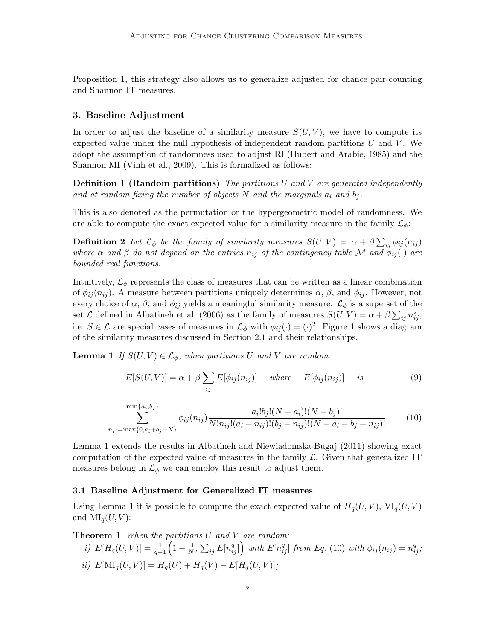Proposition 1, this strategy also allows us to generalize adjusted for chance pair-counting and Shannon IT measures.

### 3. Baseline Adjustment

In order to adjust the baseline of a similarity measure  $S(U, V)$ , we have to compute its expected value under the null hypothesis of independent random partitions  $U$  and  $V$ . We adopt the assumption of randomness used to adjust RI (Hubert and Arabie, 1985) and the Shannon MI (Vinh et al., 2009). This is formalized as follows:

**Definition 1 (Random partitions)** The partitions U and V are generated independently and at random fixing the number of objects N and the marginals  $a_i$  and  $b_j$ .

This is also denoted as the permutation or the hypergeometric model of randomness. We are able to compute the exact expected value for a similarity measure in the family  $\mathcal{L}_{\phi}$ :

**Definition 2** Let  $\mathcal{L}_{\phi}$  be the family of similarity measures  $S(U, V) = \alpha + \beta \sum_{ij} \phi_{ij}(n_{ij})$ where  $\alpha$  and  $\beta$  do not depend on the entries  $n_{ij}$  of the contingency table M and  $\phi_{ij}(\cdot)$  are bounded real functions.

Intuitively,  $\mathcal{L}_{\phi}$  represents the class of measures that can be written as a linear combination of  $\phi_{ij}(n_{ij})$ . A measure between partitions uniquely determines  $\alpha$ ,  $\beta$ , and  $\phi_{ij}$ . However, not every choice of  $\alpha$ ,  $\beta$ , and  $\phi_{ij}$  yields a meaningful similarity measure.  $\mathcal{L}_{\phi}$  is a superset of the set  $\mathcal L$  defined in Albatineh et al. (2006) as the family of measures  $S(U, V) = \alpha + \beta \sum_{ij} n_{ij}^2$ , i.e.  $S \in \mathcal{L}$  are special cases of measures in  $\mathcal{L}_{\phi}$  with  $\phi_{ij}(\cdot) = (\cdot)^2$ . Figure 1 shows a diagram of the similarity measures discussed in Section 2.1 and their relationships.

**Lemma 1** If  $S(U, V) \in \mathcal{L}_{\phi}$ , when partitions U and V are random:

$$
E[S(U,V)] = \alpha + \beta \sum_{ij} E[\phi_{ij}(n_{ij})] \quad where \quad E[\phi_{ij}(n_{ij})] \quad is \tag{9}
$$

$$
\sum_{n_{ij}=\max\{0,a_i+b_j-N\}}^{\min\{a_i,b_j\}} \phi_{ij}(n_{ij}) \frac{a_i!b_j!(N-a_i)!(N-b_j)!}{N!n_{ij}!(a_i-n_{ij})!(b_j-n_{ij})!(N-a_i-b_j+n_{ij})!}
$$
(10)

Lemma 1 extends the results in Albatineh and Niewiadomska-Bugaj (2011) showing exact computation of the expected value of measures in the family  $\mathcal{L}$ . Given that generalized IT measures belong in  $\mathcal{L}_{\phi}$  we can employ this result to adjust them.

#### 3.1 Baseline Adjustment for Generalized IT measures

Using Lemma 1 it is possible to compute the exact expected value of  $H_q(U, V)$ ,  $VI_q(U, V)$ and  $\text{MI}_q(U, V)$ :

**Theorem 1** When the partitions U and V are random:

*i)* 
$$
E[H_q(U, V)] = \frac{1}{q-1} \left( 1 - \frac{1}{N^q} \sum_{ij} E[n_{ij}^q] \right)
$$
 with  $E[n_{ij}^q]$  from Eq. (10) with  $\phi_{ij}(n_{ij}) = n_{ij}^q$ ;  
\n*ii)*  $E[\text{MI}_q(U, V)] = H_q(U) + H_q(V) - E[H_q(U, V)]$ ;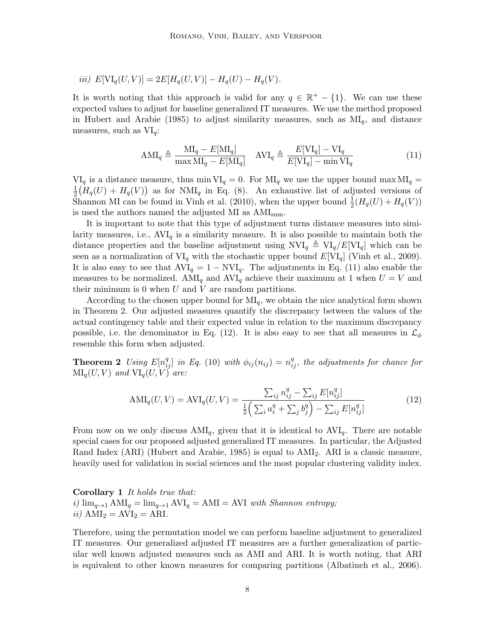*iii)* 
$$
E[VI_q(U, V)] = 2E[H_q(U, V)] - H_q(U) - H_q(V)
$$
.

It is worth noting that this approach is valid for any  $q \in \mathbb{R}^+ - \{1\}$ . We can use these expected values to adjust for baseline generalized IT measures. We use the method proposed in Hubert and Arabie (1985) to adjust similarity measures, such as  $MI_q$ , and distance measures, such as  $VI_q$ :

$$
AMI_q \triangleq \frac{MI_q - E[MI_q]}{\max MI_q - E[MI_q]} \quad AVI_q \triangleq \frac{E[VI_q] - VI_q}{E[VI_q] - \min VI_q} \tag{11}
$$

 $VI_q$  is a distance measure, thus min  $VI_q = 0$ . For  $MI_q$  we use the upper bound max  $MI_q =$ 1  $\frac{1}{2}(H_q(U) + H_q(V))$  as for NMI<sub>q</sub> in Eq. (8). An exhaustive list of adjusted versions of Shannon MI can be found in Vinh et al. (2010), when the upper bound  $\frac{1}{2}(H_q(U) + H_q(V))$ is used the authors named the adjusted MI as  $\text{AMI}_{\text{sum}}.$ 

It is important to note that this type of adjustment turns distance measures into similarity measures, i.e.,  $AVI_q$  is a similarity measure. It is also possible to maintain both the distance properties and the baseline adjustment using  $NVI_q \triangleq VI_q/E[VI_q]$  which can be seen as a normalization of  $VI_q$  with the stochastic upper bound  $E[VI_q]$  (Vinh et al., 2009). It is also easy to see that  $AVI_q = 1 - NVI_q$ . The adjustments in Eq. (11) also enable the measures to be normalized.  $AMI_q$  and  $AVI_q$  achieve their maximum at 1 when  $U = V$  and their minimum is 0 when  $U$  and  $V$  are random partitions.

According to the chosen upper bound for  $\text{MI}_q$ , we obtain the nice analytical form shown in Theorem 2. Our adjusted measures quantify the discrepancy between the values of the actual contingency table and their expected value in relation to the maximum discrepancy possible, i.e. the denominator in Eq. (12). It is also easy to see that all measures in  $\mathcal{L}_{\phi}$ resemble this form when adjusted.

**Theorem 2** Using  $E[n_{ij}^q]$  in Eq. (10) with  $\phi_{ij}(n_{ij}) = n_{ij}^q$ , the adjustments for chance for  $\text{MI}_q(U, V)$  and  $\text{VI}_q(U, V)$  are:

$$
AMI_q(U, V) = AVI_q(U, V) = \frac{\sum_{ij} n_{ij}^q - \sum_{ij} E[n_{ij}^q]}{\frac{1}{2} \left( \sum_i a_i^q + \sum_j b_j^q \right) - \sum_{ij} E[n_{ij}^q]} \tag{12}
$$

From now on we only discuss  $AMI_q$ , given that it is identical to  $AVI_q$ . There are notable special cases for our proposed adjusted generalized IT measures. In particular, the Adjusted Rand Index (ARI) (Hubert and Arabie, 1985) is equal to  $AMI<sub>2</sub>$ . ARI is a classic measure, heavily used for validation in social sciences and the most popular clustering validity index.

Corollary 1 It holds true that: i)  $\lim_{q\to 1} AMI_q = \lim_{q\to 1} AVI_q = AMI = AVI$  with Shannon entropy; ii)  $AMI_2 = AVI_2 = ARI$ .

Therefore, using the permutation model we can perform baseline adjustment to generalized IT measures. Our generalized adjusted IT measures are a further generalization of particular well known adjusted measures such as AMI and ARI. It is worth noting, that ARI is equivalent to other known measures for comparing partitions (Albatineh et al., 2006).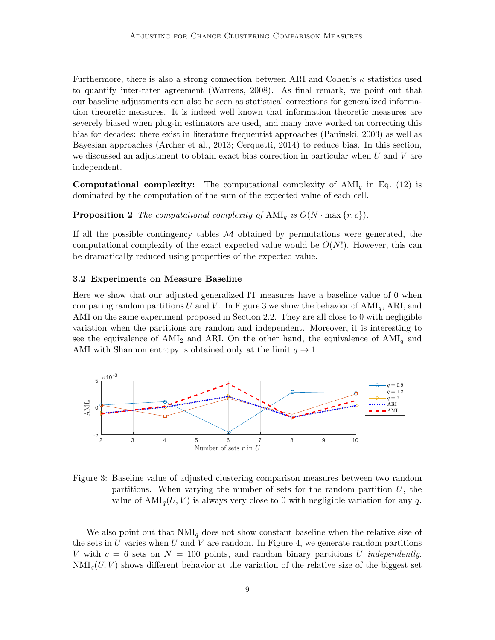Furthermore, there is also a strong connection between ARI and Cohen's  $\kappa$  statistics used to quantify inter-rater agreement (Warrens, 2008). As final remark, we point out that our baseline adjustments can also be seen as statistical corrections for generalized information theoretic measures. It is indeed well known that information theoretic measures are severely biased when plug-in estimators are used, and many have worked on correcting this bias for decades: there exist in literature frequentist approaches (Paninski, 2003) as well as Bayesian approaches (Archer et al., 2013; Cerquetti, 2014) to reduce bias. In this section, we discussed an adjustment to obtain exact bias correction in particular when  $U$  and  $V$  are independent.

**Computational complexity:** The computational complexity of  $AMI_q$  in Eq. (12) is dominated by the computation of the sum of the expected value of each cell.

## **Proposition 2** The computational complexity of  $AMI_q$  is  $O(N \cdot \max\{r, c\})$ .

If all the possible contingency tables  $M$  obtained by permutations were generated, the computational complexity of the exact expected value would be  $O(N!)$ . However, this can be dramatically reduced using properties of the expected value.

### 3.2 Experiments on Measure Baseline

Here we show that our adjusted generalized IT measures have a baseline value of 0 when comparing random partitions U and V. In Figure 3 we show the behavior of  $AMI_q$ , ARI, and AMI on the same experiment proposed in Section 2.2. They are all close to 0 with negligible variation when the partitions are random and independent. Moreover, it is interesting to see the equivalence of  $AMI_2$  and ARI. On the other hand, the equivalence of  $AMI_q$  and AMI with Shannon entropy is obtained only at the limit  $q \to 1$ .



Figure 3: Baseline value of adjusted clustering comparison measures between two random partitions. When varying the number of sets for the random partition  $U$ , the value of  $AMI_q(U, V)$  is always very close to 0 with negligible variation for any q.

We also point out that  $NMI_q$  does not show constant baseline when the relative size of the sets in U varies when U and V are random. In Figure 4, we generate random partitions V with  $c = 6$  sets on  $N = 100$  points, and random binary partitions U *independently*.  $NMI_q(U, V)$  shows different behavior at the variation of the relative size of the biggest set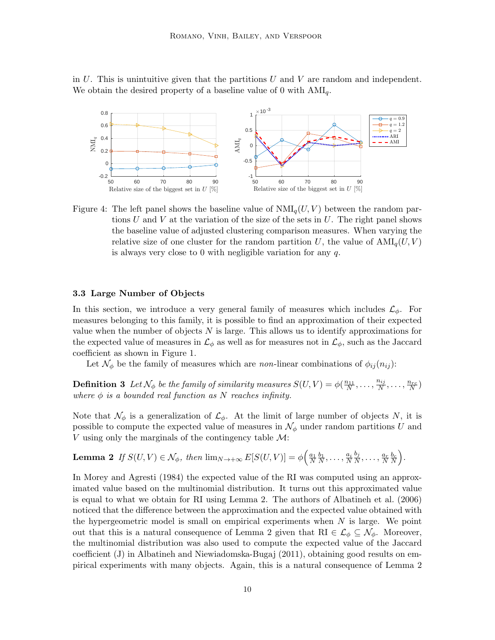in  $U$ . This is unintuitive given that the partitions  $U$  and  $V$  are random and independent. We obtain the desired property of a baseline value of 0 with  $AMI_q$ .



Figure 4: The left panel shows the baseline value of  $NMI_q(U, V)$  between the random partions U and V at the variation of the size of the sets in U. The right panel shows the baseline value of adjusted clustering comparison measures. When varying the relative size of one cluster for the random partition U, the value of  $AMI_{q}(U, V)$ is always very close to 0 with negligible variation for any  $q$ .

### 3.3 Large Number of Objects

In this section, we introduce a very general family of measures which includes  $\mathcal{L}_{\phi}$ . For measures belonging to this family, it is possible to find an approximation of their expected value when the number of objects  $N$  is large. This allows us to identify approximations for the expected value of measures in  $\mathcal{L}_{\phi}$  as well as for measures not in  $\mathcal{L}_{\phi}$ , such as the Jaccard coefficient as shown in Figure 1.

Let  $\mathcal{N}_{\phi}$  be the family of measures which are non-linear combinations of  $\phi_{ij}(n_{ij})$ :

**Definition 3** Let  $\mathcal{N}_{\phi}$  be the family of similarity measures  $S(U, V) = \phi(\frac{n_{11}}{N}, \ldots, \frac{n_{ij}}{N})$  $\frac{n_{ij}}{N}, \ldots, \frac{n_{rc}}{N}$ where  $\phi$  is a bounded real function as N reaches infinity.

Note that  $\mathcal{N}_{\phi}$  is a generalization of  $\mathcal{L}_{\phi}$ . At the limit of large number of objects N, it is possible to compute the expected value of measures in  $\mathcal{N}_{\phi}$  under random partitions U and V using only the marginals of the contingency table  $\mathcal{M}$ :

**Lemma 2** If 
$$
S(U, V) \in \mathcal{N}_{\phi}
$$
, then  $\lim_{N \to +\infty} E[S(U, V)] = \phi\left(\frac{a_1}{N} \frac{b_1}{N}, \dots, \frac{a_i}{N} \frac{b_i}{N}, \dots, \frac{a_r}{N} \frac{b_c}{N}\right)$ .

In Morey and Agresti (1984) the expected value of the RI was computed using an approximated value based on the multinomial distribution. It turns out this approximated value is equal to what we obtain for RI using Lemma 2. The authors of Albatineh et al. (2006) noticed that the difference between the approximation and the expected value obtained with the hypergeometric model is small on empirical experiments when  $N$  is large. We point out that this is a natural consequence of Lemma 2 given that RI  $\in \mathcal{L}_{\phi} \subseteq \mathcal{N}_{\phi}$ . Moreover, the multinomial distribution was also used to compute the expected value of the Jaccard coefficient (J) in Albatineh and Niewiadomska-Bugaj (2011), obtaining good results on empirical experiments with many objects. Again, this is a natural consequence of Lemma 2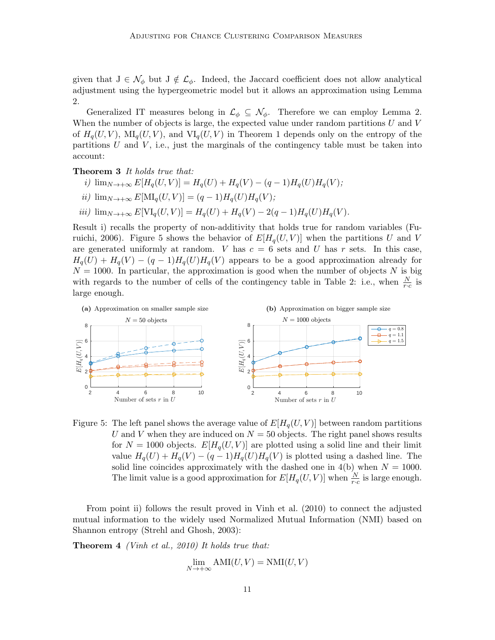given that  $J \in \mathcal{N}_{\phi}$  but  $J \notin \mathcal{L}_{\phi}$ . Indeed, the Jaccard coefficient does not allow analytical adjustment using the hypergeometric model but it allows an approximation using Lemma 2.

Generalized IT measures belong in  $\mathcal{L}_{\phi} \subseteq \mathcal{N}_{\phi}$ . Therefore we can employ Lemma 2. When the number of objects is large, the expected value under random partitions  $U$  and  $V$ of  $H_q(U, V)$ ,  $\text{MI}_q(U, V)$ , and  $\text{VI}_q(U, V)$  in Theorem 1 depends only on the entropy of the partitions  $U$  and  $V$ , i.e., just the marginals of the contingency table must be taken into account:

### Theorem 3 It holds true that:

- i)  $\lim_{N \to +\infty} E[H_q(U, V)] = H_q(U) + H_q(V) (q 1)H_q(U)H_q(V);$
- ii)  $\lim_{N\to+\infty} E[\text{MI}_q(U,V)] = (q-1)H_q(U)H_q(V);$
- iii)  $\lim_{N \to +\infty} E[V I_q(U, V)] = H_q(U) + H_q(V) 2(q 1)H_q(U)H_q(V)$ .

Result i) recalls the property of non-additivity that holds true for random variables (Furuichi, 2006). Figure 5 shows the behavior of  $E[H_q(U, V)]$  when the partitions U and V are generated uniformly at random. V has  $c = 6$  sets and U has r sets. In this case,  $H_q(U) + H_q(V) - (q-1)H_q(U)H_q(V)$  appears to be a good approximation already for  $N = 1000$ . In particular, the approximation is good when the number of objects N is big with regards to the number of cells of the contingency table in Table 2: i.e., when  $\frac{N}{r \cdot c}$  is large enough.



Figure 5: The left panel shows the average value of  $E[H_q(U, V)]$  between random partitions U and V when they are induced on  $N = 50$  objects. The right panel shows results for  $N = 1000$  objects.  $E[H_q(U, V)]$  are plotted using a solid line and their limit value  $H_q(U) + H_q(V) - (q-1)H_q(U)H_q(V)$  is plotted using a dashed line. The solid line coincides approximately with the dashed one in  $4(b)$  when  $N = 1000$ . The limit value is a good approximation for  $E[H_q(U, V)]$  when  $\frac{N}{r \cdot c}$  is large enough.

From point ii) follows the result proved in Vinh et al. (2010) to connect the adjusted mutual information to the widely used Normalized Mutual Information (NMI) based on Shannon entropy (Strehl and Ghosh, 2003):

Theorem 4 (Vinh et al., 2010) It holds true that:

$$
\lim_{N \to +\infty} AMI(U, V) = NMI(U, V)
$$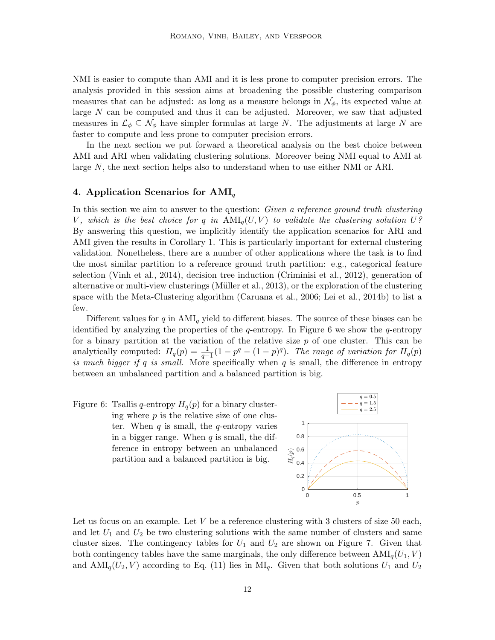NMI is easier to compute than AMI and it is less prone to computer precision errors. The analysis provided in this session aims at broadening the possible clustering comparison measures that can be adjusted: as long as a measure belongs in  $\mathcal{N}_{\phi}$ , its expected value at large  $N$  can be computed and thus it can be adjusted. Moreover, we saw that adjusted measures in  $\mathcal{L}_{\phi} \subseteq \mathcal{N}_{\phi}$  have simpler formulas at large N. The adjustments at large N are faster to compute and less prone to computer precision errors.

In the next section we put forward a theoretical analysis on the best choice between AMI and ARI when validating clustering solutions. Moreover being NMI equal to AMI at large N, the next section helps also to understand when to use either NMI or ARI.

### 4. Application Scenarios for  $AMI_q$

In this section we aim to answer to the question: Given a reference ground truth clustering V, which is the best choice for q in  $AMI_q(U, V)$  to validate the clustering solution U? By answering this question, we implicitly identify the application scenarios for ARI and AMI given the results in Corollary 1. This is particularly important for external clustering validation. Nonetheless, there are a number of other applications where the task is to find the most similar partition to a reference ground truth partition: e.g., categorical feature selection (Vinh et al., 2014), decision tree induction (Criminisi et al., 2012), generation of alternative or multi-view clusterings (Müller et al., 2013), or the exploration of the clustering space with the Meta-Clustering algorithm (Caruana et al., 2006; Lei et al., 2014b) to list a few.

Different values for  $q$  in  $AMI_q$  yield to different biases. The source of these biases can be identified by analyzing the properties of the q-entropy. In Figure 6 we show the q-entropy for a binary partition at the variation of the relative size  $p$  of one cluster. This can be analytically computed:  $H_q(p) = \frac{1}{q-1}(1-p^q - (1-p)^q)$ . The range of variation for  $H_q(p)$ is much bigger if q is small. More specifically when  $q$  is small, the difference in entropy between an unbalanced partition and a balanced partition is big.

Figure 6: Tsallis q-entropy  $H_q(p)$  for a binary clustering where  $p$  is the relative size of one cluster. When  $q$  is small, the  $q$ -entropy varies in a bigger range. When  $q$  is small, the difference in entropy between an unbalanced partition and a balanced partition is big.



Let us focus on an example. Let  $V$  be a reference clustering with 3 clusters of size 50 each, and let  $U_1$  and  $U_2$  be two clustering solutions with the same number of clusters and same cluster sizes. The contingency tables for  $U_1$  and  $U_2$  are shown on Figure 7. Given that both contingency tables have the same marginals, the only difference between  $\text{AMI}_q(U_1, V)$ and  $AMI_q(U_2, V)$  according to Eq. (11) lies in  $MI_q$ . Given that both solutions  $U_1$  and  $U_2$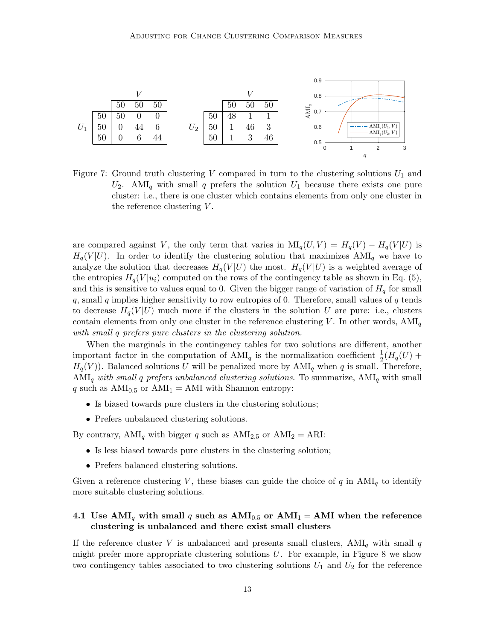

Figure 7: Ground truth clustering V compared in turn to the clustering solutions  $U_1$  and  $U_2$ . AMI<sub>q</sub> with small q prefers the solution  $U_1$  because there exists one pure cluster: i.e., there is one cluster which contains elements from only one cluster in the reference clustering  $V$ .

are compared against V, the only term that varies in  $\text{MI}_q(U, V) = H_q(V) - H_q(V|U)$  is  $H_q(V | U)$ . In order to identify the clustering solution that maximizes AMI<sub>q</sub> we have to analyze the solution that decreases  $H_q(V|U)$  the most.  $H_q(V|U)$  is a weighted average of the entropies  $H_q(V|u_i)$  computed on the rows of the contingency table as shown in Eq. (5), and this is sensitive to values equal to 0. Given the bigger range of variation of  $H<sub>q</sub>$  for small  $q$ , small  $q$  implies higher sensitivity to row entropies of 0. Therefore, small values of  $q$  tends to decrease  $H_q(V|U)$  much more if the clusters in the solution U are pure: i.e., clusters contain elements from only one cluster in the reference clustering V. In other words,  $AMI_q$ with small q prefers pure clusters in the clustering solution.

When the marginals in the contingency tables for two solutions are different, another important factor in the computation of  $AMI_q$  is the normalization coefficient  $\frac{1}{2}(H_q(U))$  $H_q(V)$ ). Balanced solutions U will be penalized more by  $AMI_q$  when q is small. Therefore,  $AMI_q$  with small q prefers unbalanced clustering solutions. To summarize,  $AMI_q$  with small q such as  $AMI_{0.5}$  or  $AMI_1 = AMI$  with Shannon entropy:

- Is biased towards pure clusters in the clustering solutions;
- Prefers unbalanced clustering solutions.

By contrary,  $AMI_q$  with bigger q such as  $AMI_{2.5}$  or  $AMI_2 = ARI$ :

- Is less biased towards pure clusters in the clustering solution;
- Prefers balanced clustering solutions.

Given a reference clustering V, these biases can guide the choice of q in  $AMI_q$  to identify more suitable clustering solutions.

## 4.1 Use AMI<sub>q</sub> with small q such as  $AMI_{0.5}$  or  $AMI_1 = AMI$  when the reference clustering is unbalanced and there exist small clusters

If the reference cluster V is unbalanced and presents small clusters,  $AMI_q$  with small q might prefer more appropriate clustering solutions  $U$ . For example, in Figure 8 we show two contingency tables associated to two clustering solutions  $U_1$  and  $U_2$  for the reference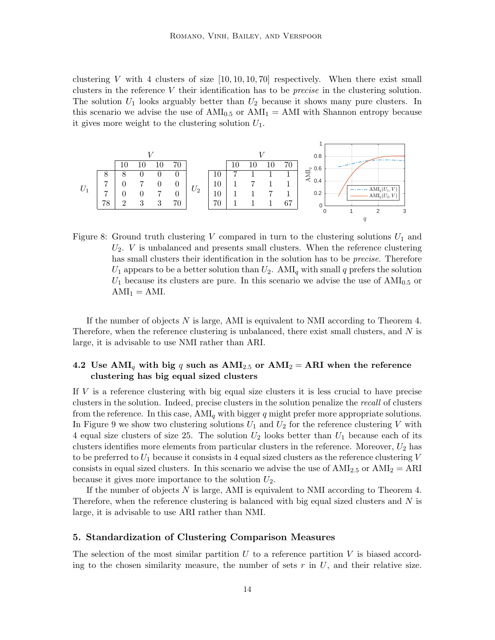clustering V with 4 clusters of size  $[10, 10, 10, 70]$  respectively. When there exist small clusters in the reference V their identification has to be *precise* in the clustering solution. The solution  $U_1$  looks arguably better than  $U_2$  because it shows many pure clusters. In this scenario we advise the use of  $AMI_{0.5}$  or  $AMI_1 = AMI$  with Shannon entropy because it gives more weight to the clustering solution  $U_1$ .



Figure 8: Ground truth clustering V compared in turn to the clustering solutions  $U_1$  and  $U_2$ . V is unbalanced and presents small clusters. When the reference clustering has small clusters their identification in the solution has to be *precise*. Therefore  $U_1$  appears to be a better solution than  $U_2$ . AMI<sub>q</sub> with small q prefers the solution  $U_1$  because its clusters are pure. In this scenario we advise the use of  $AMI_{0.5}$  or  $AMI_1 = AMI.$ 

If the number of objects N is large, AMI is equivalent to NMI according to Theorem 4. Therefore, when the reference clustering is unbalanced, there exist small clusters, and N is large, it is advisable to use NMI rather than ARI.

## 4.2 Use  $AMI_q$  with big q such as  $AMI_{2.5}$  or  $AMI_2 = ARI$  when the reference clustering has big equal sized clusters

If V is a reference clustering with big equal size clusters it is less crucial to have precise clusters in the solution. Indeed, precise clusters in the solution penalize the recall of clusters from the reference. In this case,  $AMI_q$  with bigger q might prefer more appropriate solutions. In Figure 9 we show two clustering solutions  $U_1$  and  $U_2$  for the reference clustering V with 4 equal size clusters of size 25. The solution  $U_2$  looks better than  $U_1$  because each of its clusters identifies more elements from particular clusters in the reference. Moreover,  $U_2$  has to be preferred to  $U_1$  because it consists in 4 equal sized clusters as the reference clustering  $V$ consists in equal sized clusters. In this scenario we advise the use of  $AMI_{2.5}$  or  $AMI_2 = ARI$ because it gives more importance to the solution  $U_2$ .

If the number of objects N is large, AMI is equivalent to NMI according to Theorem 4. Therefore, when the reference clustering is balanced with big equal sized clusters and N is large, it is advisable to use ARI rather than NMI.

### 5. Standardization of Clustering Comparison Measures

The selection of the most similar partition  $U$  to a reference partition  $V$  is biased according to the chosen similarity measure, the number of sets  $r$  in  $U$ , and their relative size.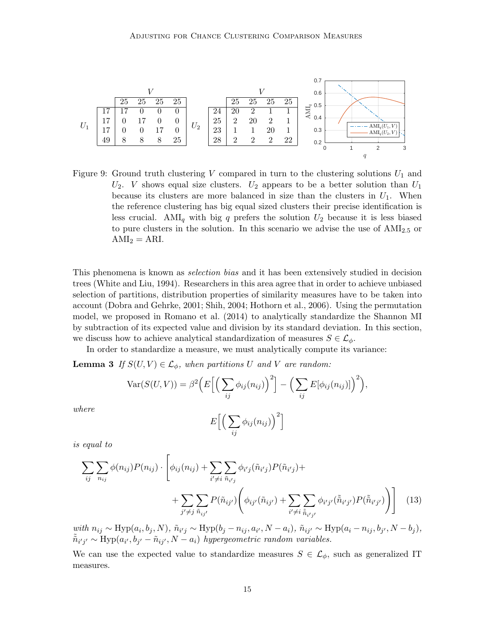

Figure 9: Ground truth clustering V compared in turn to the clustering solutions  $U_1$  and  $U_2$ . *V* shows equal size clusters.  $U_2$  appears to be a better solution than  $U_1$ because its clusters are more balanced in size than the clusters in  $U_1$ . When the reference clustering has big equal sized clusters their precise identification is less crucial. AMI<sub>q</sub> with big q prefers the solution  $U_2$  because it is less biased to pure clusters in the solution. In this scenario we advise the use of  $AMI_{2.5}$  or  $AMI_2 = ARI.$ 

This phenomena is known as selection bias and it has been extensively studied in decision trees (White and Liu, 1994). Researchers in this area agree that in order to achieve unbiased selection of partitions, distribution properties of similarity measures have to be taken into account (Dobra and Gehrke, 2001; Shih, 2004; Hothorn et al., 2006). Using the permutation model, we proposed in Romano et al. (2014) to analytically standardize the Shannon MI by subtraction of its expected value and division by its standard deviation. In this section, we discuss how to achieve analytical standardization of measures  $S \in \mathcal{L}_{\phi}$ .

In order to standardize a measure, we must analytically compute its variance:

**Lemma 3** If  $S(U, V) \in \mathcal{L}_{\phi}$ , when partitions U and V are random:

$$
\text{Var}(S(U,V)) = \beta^2 \Big( E \Big[ \Big( \sum_{ij} \phi_{ij}(n_{ij}) \Big)^2 \Big] - \Big( \sum_{ij} E[\phi_{ij}(n_{ij})] \Big)^2 \Big),
$$

where

$$
E\Big[\Big(\sum_{ij}\phi_{ij}(n_{ij})\Big)^2\Big]
$$

is equal to

$$
\sum_{ij} \sum_{n_{ij}} \phi(n_{ij}) P(n_{ij}) \cdot \left[ \phi_{ij}(n_{ij}) + \sum_{i' \neq i} \sum_{\tilde{n}_{i'j}} \phi_{i'j}(\tilde{n}_{i'j}) P(\tilde{n}_{i'j}) + \right. \\
\left. + \sum_{j' \neq j} \sum_{\tilde{n}_{ij'}} P(\tilde{n}_{ij'}) \left( \phi_{ij'}(\tilde{n}_{ij'}) + \sum_{i' \neq i} \sum_{\tilde{n}_{i'j'}} \phi_{i'j'}(\tilde{n}_{i'j'}) P(\tilde{n}_{i'j'}) \right) \right]
$$
(13)

 $with n_{ij} \sim Hyp(a_i, b_j, N), \tilde{n}_{i'j} \sim Hyp(b_j - n_{ij}, a_{i'}, N - a_i), \tilde{n}_{ij'} \sim Hyp(a_i - n_{ij}, b_{j'}, N - b_j),$  $\tilde{\tilde{n}}_{i'j'} \sim \text{Hyp}(a_{i'}, b_{j'} - \tilde{n}_{ij'}, N - a_i)$  hypergeometric random variables.

We can use the expected value to standardize measures  $S \in \mathcal{L}_{\phi}$ , such as generalized IT measures.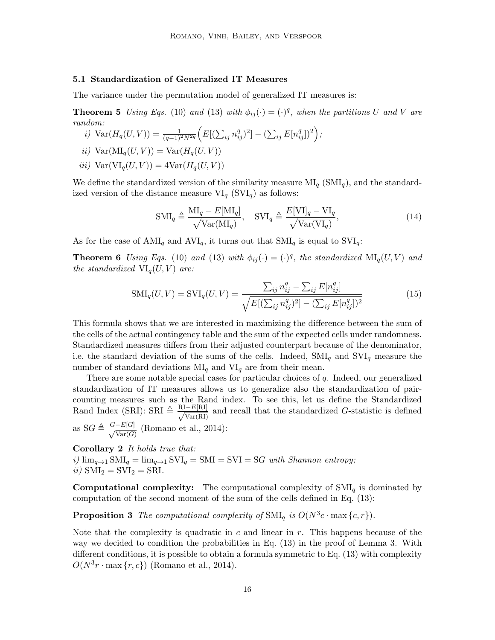### 5.1 Standardization of Generalized IT Measures

The variance under the permutation model of generalized IT measures is:

**Theorem 5** Using Eqs. (10) and (13) with  $\phi_{ij}(\cdot) = (\cdot)^q$ , when the partitions U and V are random:

- i)  $Var(H_q(U, V)) = \frac{1}{(q-1)^2 N^{2q}} \Big( E[(\sum_{ij} n_{ij}^q)^2] (\sum_{ij} E[n_{ij}^q])^2 \Big);$ ii)  $Var(MI_q(U, V)) = Var(H_q(U, V))$
- iii)  $Var(VI_{q}(U, V)) = 4Var(H_{q}(U, V))$

We define the standardized version of the similarity measure  $\text{MI}_q$  (SMI<sub>q</sub>), and the standardized version of the distance measure  $VI_q$  (SVI<sub>q</sub>) as follows:

$$
\text{SMI}_q \triangleq \frac{\text{MI}_q - E[\text{MI}_q]}{\sqrt{\text{Var}(\text{MI}_q)}}, \quad \text{SVI}_q \triangleq \frac{E[\text{VI}]_q - \text{VI}_q}{\sqrt{\text{Var}(\text{VI}_q)}},\tag{14}
$$

As for the case of  $AMI_q$  and  $AVI_q$ , it turns out that  $SMI_q$  is equal to  $SVI_q$ :

**Theorem 6** Using Eqs. (10) and (13) with  $\phi_{ij}(\cdot) = (\cdot)^q$ , the standardized  $\text{MI}_q(U, V)$  and the standardized  $\text{VI}_q(U, V)$  are:

$$
SMI_q(U, V) = SVI_q(U, V) = \frac{\sum_{ij} n_{ij}^q - \sum_{ij} E[n_{ij}^q]}{\sqrt{E[(\sum_{ij} n_{ij}^q)^2] - (\sum_{ij} E[n_{ij}^q])^2}}
$$
(15)

This formula shows that we are interested in maximizing the difference between the sum of the cells of the actual contingency table and the sum of the expected cells under randomness. Standardized measures differs from their adjusted counterpart because of the denominator, i.e. the standard deviation of the sums of the cells. Indeed,  $\text{SMI}_q$  and  $\text{SVI}_q$  measure the number of standard deviations  $\text{MI}_q$  and  $\text{VI}_q$  are from their mean.

There are some notable special cases for particular choices of q. Indeed, our generalized standardization of IT measures allows us to generalize also the standardization of paircounting measures such as the Rand index. To see this, let us define the Standardized Rand Index (SRI): SRI  $\triangleq \frac{\text{RI}-E[\text{RI}]}{\sqrt{\text{SI}-\text{SN}}}$  $\frac{U - E[\text{RI}]}{\text{Var}(\text{RI})}$  and recall that the standardized G-statistic is defined as  $SG \triangleq \frac{G - E[G]}{\sqrt{N_{\text{max}}(G)}}$  $\frac{-E[G]}{\text{Var}(G)}$  (Romano et al., 2014):

Corollary 2 It holds true that: i)  $\lim_{q\to 1} \text{SMI}_q = \lim_{q\to 1} \text{SVI}_q = \text{SMI} = \text{SVI} = \text{SG with Shannon entropy};$ ii)  $\text{SMI}_2 = \text{SVI}_2 = \text{SRI}.$ 

**Computational complexity:** The computational complexity of  $SMI_q$  is dominated by computation of the second moment of the sum of the cells defined in Eq. (13):

**Proposition 3** The computational complexity of  $\text{SMI}_q$  is  $O(N^3c \cdot \max\{c, r\})$ .

Note that the complexity is quadratic in c and linear in  $r$ . This happens because of the way we decided to condition the probabilities in Eq. (13) in the proof of Lemma 3. With different conditions, it is possible to obtain a formula symmetric to Eq. (13) with complexity  $O(N^3r \cdot \max\{r, c\})$  (Romano et al., 2014).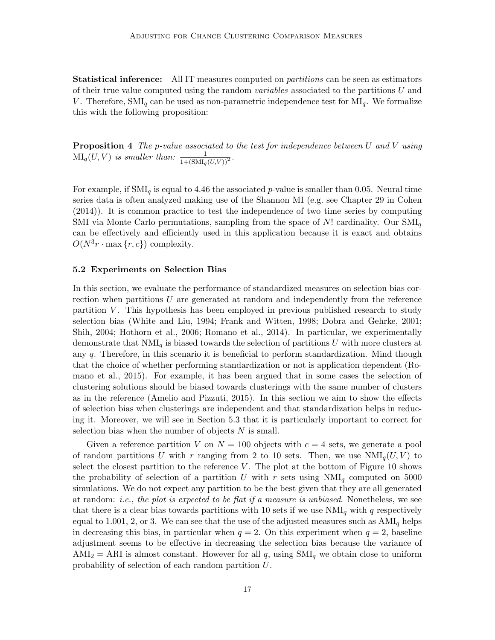**Statistical inference:** All IT measures computed on *partitions* can be seen as estimators of their true value computed using the random variables associated to the partitions U and V. Therefore,  $\text{SMI}_q$  can be used as non-parametric independence test for  $\text{MI}_q$ . We formalize this with the following proposition:

**Proposition 4** The p-value associated to the test for independence between U and V using  $\text{MI}_q(U, V)$  is smaller than:  $\frac{1}{1+(\text{SMI}_q(U, V))^2}$ .

For example, if SMI<sub>q</sub> is equal to 4.46 the associated *p*-value is smaller than 0.05. Neural time series data is often analyzed making use of the Shannon MI (e.g. see Chapter 29 in Cohen (2014)). It is common practice to test the independence of two time series by computing SMI via Monte Carlo permutations, sampling from the space of  $N!$  cardinality. Our  $\text{SMI}_q$ can be effectively and efficiently used in this application because it is exact and obtains  $O(N^3r \cdot \max\{r, c\})$  complexity.

### 5.2 Experiments on Selection Bias

In this section, we evaluate the performance of standardized measures on selection bias correction when partitions U are generated at random and independently from the reference partition  $V$ . This hypothesis has been employed in previous published research to study selection bias (White and Liu, 1994; Frank and Witten, 1998; Dobra and Gehrke, 2001; Shih, 2004; Hothorn et al., 2006; Romano et al., 2014). In particular, we experimentally demonstrate that  $NMI_q$  is biased towards the selection of partitions U with more clusters at any q. Therefore, in this scenario it is beneficial to perform standardization. Mind though that the choice of whether performing standardization or not is application dependent (Romano et al., 2015). For example, it has been argued that in some cases the selection of clustering solutions should be biased towards clusterings with the same number of clusters as in the reference (Amelio and Pizzuti, 2015). In this section we aim to show the effects of selection bias when clusterings are independent and that standardization helps in reducing it. Moreover, we will see in Section 5.3 that it is particularly important to correct for selection bias when the number of objects  $N$  is small.

Given a reference partition V on  $N = 100$  objects with  $c = 4$  sets, we generate a pool of random partitions U with r ranging from 2 to 10 sets. Then, we use  $NMI_q(U, V)$  to select the closest partition to the reference  $V$ . The plot at the bottom of Figure 10 shows the probability of selection of a partition U with r sets using  $NMI_q$  computed on 5000 simulations. We do not expect any partition to be the best given that they are all generated at random: i.e., the plot is expected to be flat if a measure is unbiased. Nonetheless, we see that there is a clear bias towards partitions with 10 sets if we use  $NMI_q$  with q respectively equal to 1.001, 2, or 3. We can see that the use of the adjusted measures such as  $AMI<sub>q</sub>$  helps in decreasing this bias, in particular when  $q = 2$ . On this experiment when  $q = 2$ , baseline adjustment seems to be effective in decreasing the selection bias because the variance of  $AMI_2 = ARI$  is almost constant. However for all q, using  $SMI_q$  we obtain close to uniform probability of selection of each random partition U.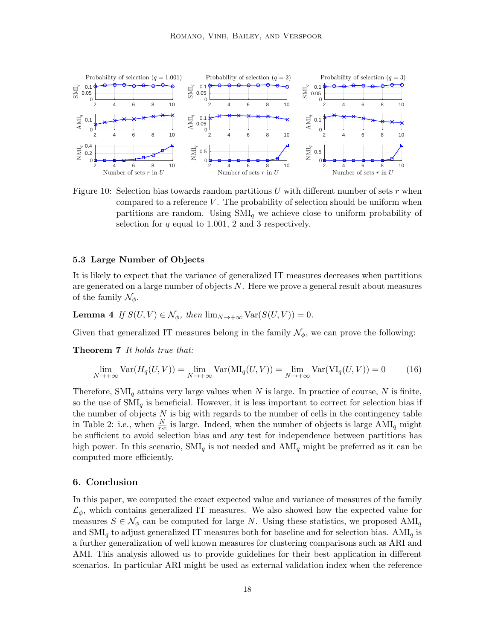

Figure 10: Selection bias towards random partitions U with different number of sets  $r$  when compared to a reference V. The probability of selection should be uniform when partitions are random. Using  $\text{SMI}_q$  we achieve close to uniform probability of selection for  $q$  equal to 1.001, 2 and 3 respectively.

### 5.3 Large Number of Objects

It is likely to expect that the variance of generalized IT measures decreases when partitions are generated on a large number of objects  $N$ . Here we prove a general result about measures of the family  $\mathcal{N}_{\phi}$ .

**Lemma 4** If  $S(U, V) \in \mathcal{N}_{\phi}$ , then  $\lim_{N \to \infty} \text{Var}(S(U, V)) = 0$ .

Given that generalized IT measures belong in the family  $\mathcal{N}_{\phi}$ , we can prove the following:

Theorem 7 It holds true that:

$$
\lim_{N \to +\infty} \text{Var}(H_q(U, V)) = \lim_{N \to +\infty} \text{Var}(\text{MI}_q(U, V)) = \lim_{N \to +\infty} \text{Var}(\text{VI}_q(U, V)) = 0 \tag{16}
$$

Therefore,  $\text{SMI}_q$  attains very large values when N is large. In practice of course, N is finite, so the use of  $\text{SMI}_q$  is beneficial. However, it is less important to correct for selection bias if the number of objects  $N$  is big with regards to the number of cells in the contingency table in Table 2: i.e., when  $\frac{N}{r \cdot c}$  is large. Indeed, when the number of objects is large  $AMI_q$  might be sufficient to avoid selection bias and any test for independence between partitions has high power. In this scenario,  $\text{SMI}_q$  is not needed and  $\text{AMI}_q$  might be preferred as it can be computed more efficiently.

### 6. Conclusion

In this paper, we computed the exact expected value and variance of measures of the family  $\mathcal{L}_{\phi}$ , which contains generalized IT measures. We also showed how the expected value for measures  $S \in \mathcal{N}_{\phi}$  can be computed for large N. Using these statistics, we proposed AMI<sub>q</sub> and  $\text{SMI}_q$  to adjust generalized IT measures both for baseline and for selection bias. AMI<sub>q</sub> is a further generalization of well known measures for clustering comparisons such as ARI and AMI. This analysis allowed us to provide guidelines for their best application in different scenarios. In particular ARI might be used as external validation index when the reference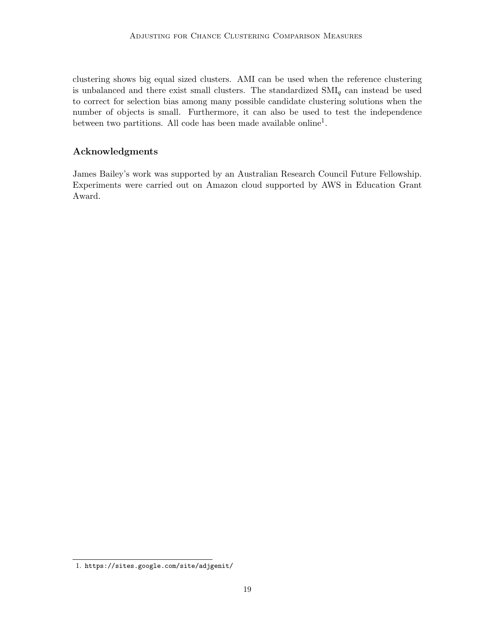clustering shows big equal sized clusters. AMI can be used when the reference clustering is unbalanced and there exist small clusters. The standardized  $\text{SMI}_q$  can instead be used to correct for selection bias among many possible candidate clustering solutions when the number of objects is small. Furthermore, it can also be used to test the independence between two partitions. All code has been made available online<sup>1</sup>.

## Acknowledgments

James Bailey's work was supported by an Australian Research Council Future Fellowship. Experiments were carried out on Amazon cloud supported by AWS in Education Grant Award.

<sup>1.</sup> https://sites.google.com/site/adjgenit/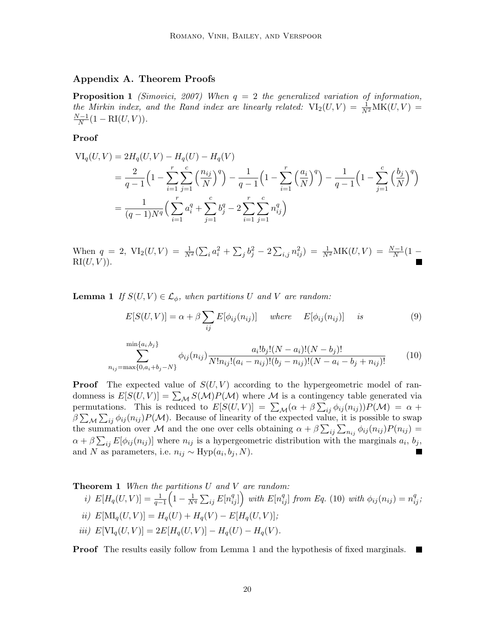## Appendix A. Theorem Proofs

**Proposition 1** (Simovici, 2007) When  $q = 2$  the generalized variation of information, the Mirkin index, and the Rand index are linearly related:  $VI_2(U, V) = \frac{1}{N^2}MK(U, V) =$  $N-1$  $\frac{N-1}{N}(1 - \text{RI}(U, V)).$ 

### Proof

$$
\begin{split} \nabla I_q(U, V) &= 2H_q(U, V) - H_q(U) - H_q(V) \\ \n&= \frac{2}{q-1} \left( 1 - \sum_{i=1}^r \sum_{j=1}^c \left( \frac{n_{ij}}{N} \right)^q \right) - \frac{1}{q-1} \left( 1 - \sum_{i=1}^r \left( \frac{a_i}{N} \right)^q \right) - \frac{1}{q-1} \left( 1 - \sum_{j=1}^c \left( \frac{b_j}{N} \right)^q \right) \\ \n&= \frac{1}{(q-1)N^q} \left( \sum_{i=1}^r a_i^q + \sum_{j=1}^c b_j^q - 2 \sum_{i=1}^r \sum_{j=1}^c n_{ij}^q \right) \n\end{split}
$$

When  $q = 2$ ,  $\text{VI}_2(U, V) = \frac{1}{N^2} (\sum_i a_i^2 + \sum_j b_j^2 - 2 \sum_{i,j} n_{ij}^2) = \frac{1}{N^2} \text{MK}(U, V) = \frac{N-1}{N} (1 \mathrm{RI}(U, V)$ ).

**Lemma 1** If  $S(U, V) \in \mathcal{L}_{\phi}$ , when partitions U and V are random:

$$
E[S(U,V)] = \alpha + \beta \sum_{ij} E[\phi_{ij}(n_{ij})] \quad where \quad E[\phi_{ij}(n_{ij})] \quad is \tag{9}
$$

$$
\sum_{n_{ij}=\max\{0, a_i+b_j-N\}}^{\min\{a_i,b_j\}} \phi_{ij}(n_{ij}) \frac{a_i! b_j! (N-a_i)! (N-b_j)!}{N! n_{ij}! (a_i - n_{ij})! (b_j - n_{ij})! (N-a_i - b_j + n_{ij})!} \tag{10}
$$

**Proof** The expected value of  $S(U, V)$  according to the hypergeometric model of randomness is  $E[S(U, V)] = \sum_{\mathcal{M}} S(\mathcal{M}) P(\mathcal{M})$  where  $\mathcal M$  is a contingency table generated via permutations. This is reduced to  $E[S(U,V)] = \sum_{\mathcal{M}} (\alpha + \beta \sum_{ij} \phi_{ij}(n_{ij})) P(\mathcal{M}) = \alpha +$  $\beta \sum_{\mathcal{M}} \sum_{ij} \phi_{ij}(n_{ij}) P(\mathcal{M})$ . Because of linearity of the expected value, it is possible to swap the summation over M and the one over cells obtaining  $\alpha + \beta \sum_{ij} \sum_{n_{ij}} \phi_{ij}(n_{ij}) P(n_{ij}) =$  $\alpha + \beta \sum_{ij} E[\phi_{ij}(n_{ij})]$  where  $n_{ij}$  is a hypergeometric distribution with the marginals  $a_i, b_j$ , and N as parameters, i.e.  $n_{ij} \sim \text{Hyp}(a_i, b_j, N)$ .  $\blacksquare$ 

**Theorem 1** When the partitions  $U$  and  $V$  are random:

*i)* 
$$
E[H_q(U, V)] = \frac{1}{q-1} \left( 1 - \frac{1}{N^q} \sum_{ij} E[n_{ij}^q] \right)
$$
 with  $E[n_{ij}^q]$  from Eq. (10) with  $\phi_{ij}(n_{ij}) = n_{ij}^q$ ;  
\n*ii)*  $E[\text{MI}_q(U, V)] = H_q(U) + H_q(V) - E[H_q(U, V)]$ ;  
\n*iii)*  $E[\text{VI}_q(U, V)] = 2E[H_q(U, V)] - H_q(U) - H_q(V)$ .

**Proof** The results easily follow from Lemma 1 and the hypothesis of fixed marginals. ш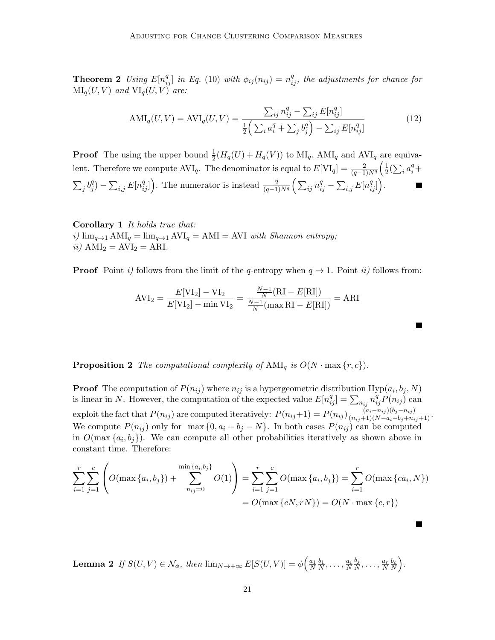**Theorem 2** Using  $E[n_{ij}^q]$  in Eq. (10) with  $\phi_{ij}(n_{ij}) = n_{ij}^q$ , the adjustments for chance for  $\text{MI}_q(U, V)$  and  $\text{VI}_q(U, V)$  are:

$$
AMI_q(U, V) = AVI_q(U, V) = \frac{\sum_{ij} n_{ij}^q - \sum_{ij} E[n_{ij}^q]}{\frac{1}{2} (\sum_i a_i^q + \sum_j b_j^q) - \sum_{ij} E[n_{ij}^q]}
$$
(12)

**Proof** The using the upper bound  $\frac{1}{2}(H_q(U) + H_q(V))$  to  $\text{MI}_q$ ,  $\text{AMI}_q$  and  $\text{AVI}_q$  are equivalent. Therefore we compute  $AVI_q$ . The denominator is equal to  $E[VI_q] = \frac{2}{(q-1)N^q} \left(\frac{1}{2}\right)$  $\frac{1}{2}(\sum_i a_i^q +$  $\sum_j b_j^q$  $\mathcal{L}_{ij}^{(q)} - \sum_{i,j} E[n_{ij}^q]$ . The numerator is instead  $\frac{2}{(q-1)N^q} \left( \sum_{ij} n_{ij}^q - \sum_{i,j} E[n_{ij}^q] \right)$ .

Corollary 1 It holds true that: i)  $\lim_{q\to 1} AMI_q = \lim_{q\to 1} AVI_q = AMI = AVI$  with Shannon entropy; ii)  $AMI_2 = AVI_2 = ARI$ .

**Proof** Point i) follows from the limit of the q-entropy when  $q \to 1$ . Point ii) follows from:

$$
AVI_2 = \frac{E[VI_2] - VI_2}{E[VI_2] - \min VI_2} = \frac{\frac{N-1}{N}(RI - E[RI])}{\frac{N-1}{N}(\max RI - E[RI])} = ARI
$$

**Proposition 2** The computational complexity of  $AMI_q$  is  $O(N \cdot \max\{r, c\})$ .

**Proof** The computation of  $P(n_{ij})$  where  $n_{ij}$  is a hypergeometric distribution  $Hyp(a_i, b_j, N)$ is linear in N. However, the computation of the expected value  $E[n_{ij}^q] = \sum_{n_{ij}} n_{ij}^q P(n_{ij})$  can exploit the fact that  $P(n_{ij})$  are computed iteratively:  $P(n_{ij}+1) = P(n_{ij}) \frac{(a_i - n_{ij})(b_j - n_{ij})}{(n_{ij}+1)(N-a_i-b_j+n_{ij}+1)}$ . We compute  $P(n_{ij})$  only for max  $\{0, a_i + b_j - N\}$ . In both cases  $P(n_{ij})$  can be computed in  $O(\max\{a_i, b_j\})$ . We can compute all other probabilities iteratively as shown above in constant time. Therefore:

$$
\sum_{i=1}^{r} \sum_{j=1}^{c} \left( O(\max\{a_i, b_j\}) + \sum_{n_{ij}=0}^{\min\{a_i, b_j\}} O(1) \right) = \sum_{i=1}^{r} \sum_{j=1}^{c} O(\max\{a_i, b_j\}) = \sum_{i=1}^{r} O(\max\{ca_i, N\})
$$

$$
= O(\max\{cN, rN\}) = O(N \cdot \max\{c, r\})
$$

П

**Lemma 2** If  $S(U, V) \in \mathcal{N}_{\phi}$ , then  $\lim_{N \to +\infty} E[S(U, V)] = \phi\left(\frac{a_1}{N} \frac{b_1}{N}, \dots, \frac{a_i}{N}\right)$  $b_j$  $\frac{b_j}{N}, \ldots, \frac{a_r}{N} \frac{b_c}{N}$ .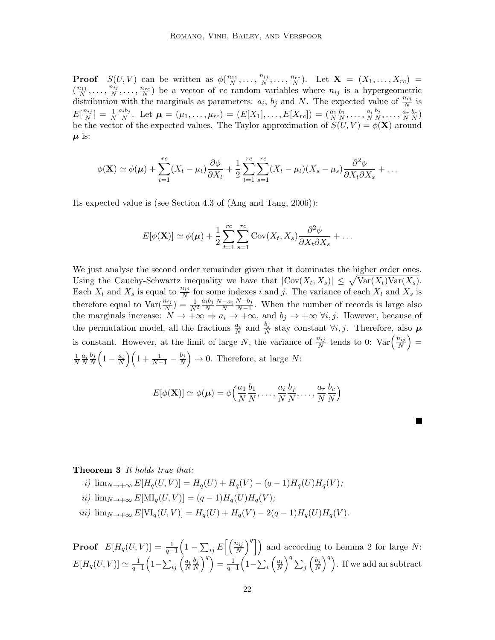**Proof**  $S(U, V)$  can be written as  $\phi(\frac{n_{11}}{N}, \ldots, \frac{n_{ij}}{N})$  $\frac{n_{ij}}{N}, \ldots, \frac{n_{rc}}{N}$ . Let  $\mathbf{X} = (X_1, \ldots, X_{rc}) =$  $\left(\frac{n_{11}}{N},\ldots,\frac{n_{ij}}{N}\right)$  $\frac{n_{ij}}{N}, \ldots, \frac{n_{rc}}{N}$  be a vector of rc random variables where  $n_{ij}$  is a hypergeometric distribution with the marginals as parameters:  $a_i$ ,  $b_j$  and N. The expected value of  $\frac{n_{ij}}{N}$  is  $E[\frac{n_{ij}}{N}]$  $\frac{n_{ij}}{N}$ ] =  $\frac{1}{N}$  $a_ib_j$  $\frac{a_i b_j}{N}$ . Let  $\boldsymbol{\mu} = (\mu_1, \ldots, \mu_{rc}) = (E[X_1], \ldots, E[X_{rc}]) = (\frac{a_1}{N} \frac{b_1}{N}, \ldots, \frac{a_i}{N})$  $b_j$  $\frac{b_j}{N},\ldots,\frac{a_r}{N}\frac{b_c}{N})$ be the vector of the expected values. The Taylor approximation of  $S(U, V) = \phi(\mathbf{X})$  around  $\mu$  is:

$$
\phi(\mathbf{X}) \simeq \phi(\boldsymbol{\mu}) + \sum_{t=1}^{rc} (X_t - \mu_t) \frac{\partial \phi}{\partial X_t} + \frac{1}{2} \sum_{t=1}^{rc} \sum_{s=1}^{rc} (X_t - \mu_t) (X_s - \mu_s) \frac{\partial^2 \phi}{\partial X_t \partial X_s} + \dots
$$

Its expected value is (see Section 4.3 of (Ang and Tang, 2006)):

$$
E[\phi(\mathbf{X})] \simeq \phi(\boldsymbol{\mu}) + \frac{1}{2} \sum_{t=1}^{rc} \sum_{s=1}^{rc} \text{Cov}(X_t, X_s) \frac{\partial^2 \phi}{\partial X_t \partial X_s} + \dots
$$

We just analyse the second order remainder given that it dominates the higher order ones. Using the Cauchy-Schwartz inequality we have that  $|\text{Cov}(X_t, X_s)| \leq \sqrt{\text{Var}(X_t)\text{Var}(X_s)}$ . Each  $X_t$  and  $X_s$  is equal to  $\frac{n_{ij}}{N}$  for some indexes i and j. The variance of each  $X_t$  and  $X_s$  is therefore equal to  $\text{Var}(\frac{n_{ij}}{N}) = \frac{1}{N^2}$  $a_ib_j$  $\frac{i b_j N-a_i}{N}$  $N-b_j$  $\frac{N-0j}{N-1}$ . When the number of records is large also the marginals increase:  $N \to +\infty \Rightarrow a_i \to +\infty$ , and  $b_j \to +\infty \forall i, j$ . However, because of the permutation model, all the fractions  $\frac{a_i}{N}$  and  $\frac{b_j}{N}$  stay constant  $\forall i, j$ . Therefore, also  $\mu$ is constant. However, at the limit of large N, the variance of  $\frac{n_{ij}}{N}$  tends to 0:  $\text{Var}\left(\frac{n_{ij}}{N}\right)$  $\left(\frac{n_{ij}}{N}\right) =$ 1  $\frac{1}{N} \frac{a_i}{N}$  $b_j$  $\frac{b_j}{N}\Big(1-\frac{a_i}{N}\Big)\Big(1+\frac{1}{N-1}-\frac{b_j}{N}\Big)$  $\frac{b_j}{N}$   $\rightarrow$  0. Therefore, at large N:

$$
E[\phi(\mathbf{X})] \simeq \phi(\boldsymbol{\mu}) = \phi\Big(\frac{a_1}{N}\frac{b_1}{N}, \dots, \frac{a_i}{N}\frac{b_j}{N}, \dots, \frac{a_r}{N}\frac{b_c}{N}\Big)
$$

**The Second Service** 

#### Theorem 3 It holds true that:

*i)* 
$$
\lim_{N \to +\infty} E[H_q(U, V)] = H_q(U) + H_q(V) - (q - 1)H_q(U)H_q(V);
$$
  
\n*ii)*  $\lim_{N \to +\infty} E[\text{MI}_q(U, V)] = (q - 1)H_q(U)H_q(V);$   
\n*iii)*  $\lim_{N \to +\infty} E[\text{VI}_q(U, V)] = H_q(U) + H_q(V) - 2(q - 1)H_q(U)H_q(V).$ 

**Proof**  $E[H_q(U,V)] = \frac{1}{q-1} \left(1 - \sum_{ij} E\left[\left(\frac{n_{ij}}{N}\right)^q\right]\right)$  and according to Lemma 2 for large N:  $E[H_q(U,V)] \simeq \frac{1}{q-1} \Big( 1 - \sum_{ij} \Big( \frac{a_i}{N} \Big)$  $b_j$  $\left(\frac{b_j}{N}\right)^q\right)=\frac{1}{q-1}\Big(1-\sum_i\left(\frac{a_i}{N}\right)^q\sum_j\left(\frac{b_j}{N}\right)^q$  $\left(\frac{b_j}{N}\right)^q$ . If we add an subtract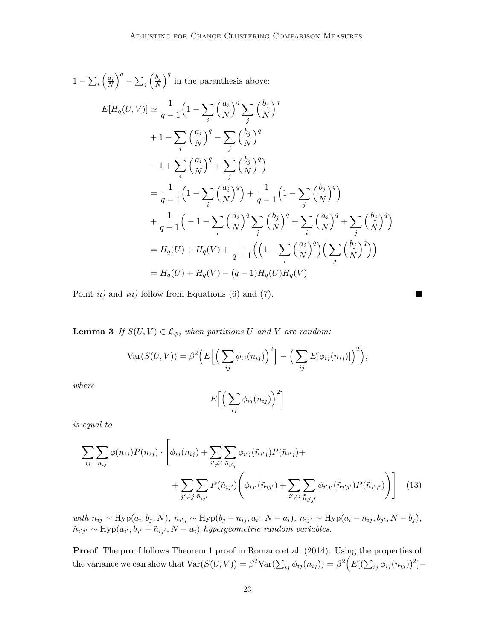$$
1 - \sum_{i} \left(\frac{a_i}{N}\right)^q - \sum_{j} \left(\frac{b_j}{N}\right)^q \text{ in the parenthesis above:}
$$
  
\n
$$
E[H_q(U, V)] \simeq \frac{1}{q-1} \left(1 - \sum_{i} \left(\frac{a_i}{N}\right)^q \sum_{j} \left(\frac{b_j}{N}\right)^q + 1 - \sum_{i} \left(\frac{a_i}{N}\right)^q - \sum_{j} \left(\frac{b_j}{N}\right)^q - 1 + \sum_{i} \left(\frac{a_i}{N}\right)^q + \sum_{j} \left(\frac{b_j}{N}\right)^q
$$
  
\n
$$
= \frac{1}{q-1} \left(1 - \sum_{i} \left(\frac{a_i}{N}\right)^q\right) + \frac{1}{q-1} \left(1 - \sum_{j} \left(\frac{b_j}{N}\right)^q\right)
$$
  
\n
$$
+ \frac{1}{q-1} \left(-1 - \sum_{i} \left(\frac{a_i}{N}\right)^q \sum_{j} \left(\frac{b_j}{N}\right)^q + \sum_{i} \left(\frac{a_i}{N}\right)^q + \sum_{j} \left(\frac{b_j}{N}\right)^q\right)
$$
  
\n
$$
= H_q(U) + H_q(V) + \frac{1}{q-1} \left(\left(1 - \sum_{i} \left(\frac{a_i}{N}\right)^q\right) \left(\sum_{j} \left(\frac{b_j}{N}\right)^q\right)\right)
$$
  
\n
$$
= H_q(U) + H_q(V) - (q-1)H_q(U)H_q(V)
$$

Point  $ii)$  and  $iii)$  follow from Equations (6) and (7).

**Lemma 3** If  $S(U, V) \in \mathcal{L}_{\phi}$ , when partitions U and V are random:

$$
\text{Var}(S(U,V)) = \beta^2 \Big( E \Big[ \Big( \sum_{ij} \phi_{ij}(n_{ij}) \Big)^2 \Big] - \Big( \sum_{ij} E[\phi_{ij}(n_{ij})] \Big)^2 \Big),
$$

where

$$
E\Big[\Big(\sum_{ij}\phi_{ij}(n_{ij})\Big)^2\Big]
$$

is equal to

$$
\sum_{ij} \sum_{n_{ij}} \phi(n_{ij}) P(n_{ij}) \cdot \left[ \phi_{ij}(n_{ij}) + \sum_{i' \neq i} \sum_{\tilde{n}_{i'j}} \phi_{i'j}(\tilde{n}_{i'j}) P(\tilde{n}_{i'j}) + \right. \\
\left. + \sum_{j' \neq j} \sum_{\tilde{n}_{ij'}} P(\tilde{n}_{ij'}) \left( \phi_{ij'}(\tilde{n}_{ij'}) + \sum_{i' \neq i} \sum_{\tilde{n}_{i'j'}} \phi_{i'j'}(\tilde{n}_{i'j'}) P(\tilde{n}_{i'j'}) \right) \right] \tag{13}
$$

 $with n_{ij} \sim Hyp(a_i, b_j, N), \tilde{n}_{i'j} \sim Hyp(b_j - n_{ij}, a_{i'}, N - a_i), \tilde{n}_{ij'} \sim Hyp(a_i - n_{ij}, b_{j'}, N - b_j),$  $\tilde{\tilde{n}}_{i'j'} \sim \text{Hyp}(a_{i'}, b_{j'} - \tilde{n}_{ij'}, N - a_i)$  hypergeometric random variables.

Proof The proof follows Theorem 1 proof in Romano et al. (2014). Using the properties of the variance we can show that  $\text{Var}(S(U, V)) = \beta^2 \text{Var}(\sum_{ij} \phi_{ij}(n_{ij})) = \beta^2 \Big( E[(\sum_{ij} \phi_{ij}(n_{ij}))^2] -$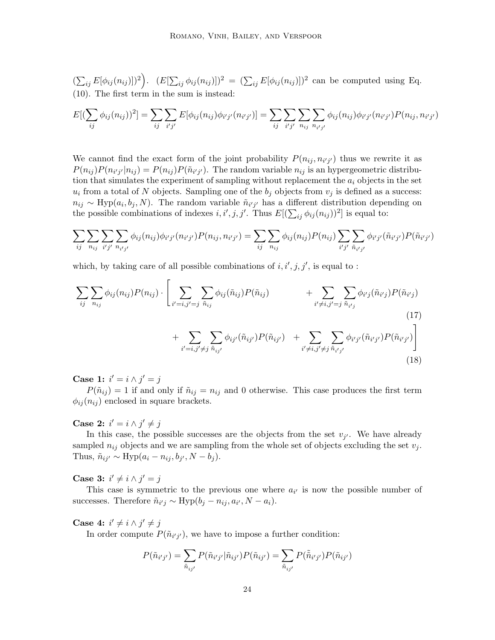$(\sum_{ij} E[\phi_{ij}(n_{ij})])^2$ .  $(E[\sum_{ij} \phi_{ij}(n_{ij})])^2 = (\sum_{ij} E[\phi_{ij}(n_{ij})])^2$  can be computed using Eq. (10). The first term in the sum is instead:

$$
E[(\sum_{ij} \phi_{ij}(n_{ij}))^2] = \sum_{ij} \sum_{i'j'} E[\phi_{ij}(n_{ij})\phi_{i'j'}(n_{i'j'})] = \sum_{ij} \sum_{i'j'} \sum_{n_{ij}} \sum_{n_{i'j'}} \phi_{ij}(n_{ij})\phi_{i'j'}(n_{i'j'})P(n_{ij}, n_{i'j'})
$$

We cannot find the exact form of the joint probability  $P(n_{ij}, n_{i'j'})$  thus we rewrite it as  $P(n_{ij})P(n_{i'j'}|n_{ij}) = P(n_{ij})P(\tilde{n}_{i'j'})$ . The random variable  $n_{ij}$  is an hypergeometric distribution that simulates the experiment of sampling without replacement the  $a_i$  objects in the set  $u_i$  from a total of N objects. Sampling one of the  $b_j$  objects from  $v_j$  is defined as a success:  $n_{ij} \sim \text{Hyp}(a_i, b_j, N)$ . The random variable  $\tilde{n}_{i'j'}$  has a different distribution depending on the possible combinations of indexes  $i, i', j, j'$ . Thus  $E[(\sum_{ij} \phi_{ij}(n_{ij}))^2]$  is equal to:

$$
\sum_{ij} \sum_{n_{ij}} \sum_{i'j'} \sum_{n_{i'j'}} \phi_{ij}(n_{ij}) \phi_{i'j'}(n_{i'j'}) P(n_{ij}, n_{i'j'}) = \sum_{ij} \sum_{n_{ij}} \phi_{ij}(n_{ij}) P(n_{ij}) \sum_{i'j'} \sum_{\tilde{n}_{i'j'}} \phi_{i'j'}(\tilde{n}_{i'j'}) P(\tilde{n}_{i'j'})
$$

which, by taking care of all possible combinations of  $i, i', j, j'$ , is equal to:

$$
\sum_{ij} \sum_{n_{ij}} \phi_{ij}(n_{ij}) P(n_{ij}) \cdot \left[ \sum_{i'=i,j'=j} \sum_{\tilde{n}_{ij}} \phi_{ij}(\tilde{n}_{ij}) P(\tilde{n}_{ij}) + \sum_{i'\neq i,j'=j} \sum_{\tilde{n}_{i'j}} \phi_{i'j}(\tilde{n}_{i'j}) P(\tilde{n}_{i'j}) + \sum_{i'=i,j'\neq j} \sum_{\tilde{n}_{i'j}} \phi_{i'j'}(\tilde{n}_{i'j'}) P(\tilde{n}_{i'j'}) \right]
$$
\n(17)

Case 1:  $i' = i \wedge j' = j$ 

 $P(\tilde{n}_{ij}) = 1$  if and only if  $\tilde{n}_{ij} = n_{ij}$  and 0 otherwise. This case produces the first term  $\phi_{ij}(n_{ij})$  enclosed in square brackets.

Case 2:  $i' = i \wedge j' \neq j$ 

In this case, the possible successes are the objects from the set  $v_{j'}$ . We have already sampled  $n_{ij}$  objects and we are sampling from the whole set of objects excluding the set  $v_j$ . Thus,  $\tilde{n}_{ij'} \sim \text{Hyp}(a_i - n_{ij}, b_{j'}, N - b_j).$ 

Case 3:  $i' \neq i \wedge j' = j$ 

This case is symmetric to the previous one where  $a_{i'}$  is now the possible number of successes. Therefore  $\tilde{n}_{i'j} \sim \text{Hyp}(b_j - n_{ij}, a_{i'}, N - a_i)$ .

Case 4:  $i' \neq i \wedge j' \neq j$ 

In order compute  $P(\tilde{n}_{i'j'})$ , we have to impose a further condition:

$$
P(\tilde{n}_{i'j'}) = \sum_{\tilde{n}_{ij'}} P(\tilde{n}_{i'j'}|\tilde{n}_{ij'}) P(\tilde{n}_{ij'}) = \sum_{\tilde{n}_{ij'}} P(\tilde{\tilde{n}}_{i'j'}) P(\tilde{n}_{ij'})
$$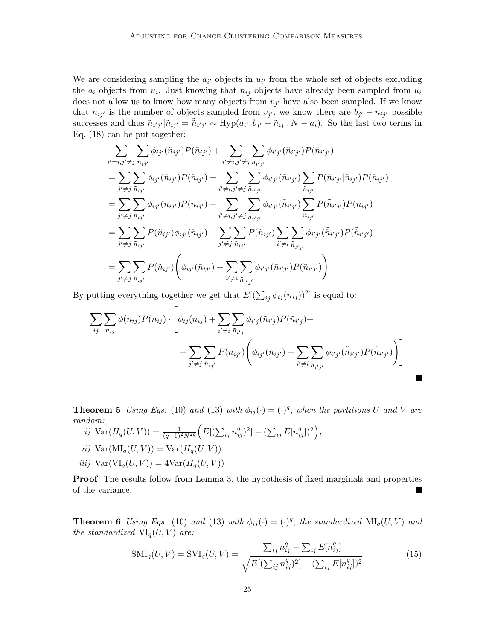We are considering sampling the  $a_{i'}$  objects in  $u_{i'}$  from the whole set of objects excluding the  $a_i$  objects from  $u_i$ . Just knowing that  $n_{ij}$  objects have already been sampled from  $u_i$ does not allow us to know how many objects from  $v_{j'}$  have also been sampled. If we know that  $n_{ij'}$  is the number of objects sampled from  $v_{j'}$ , we know there are  $b_{j'} - n_{ij'}$  possible successes and thus  $\tilde{n}_{i'j'}|\tilde{n}_{ij'} = \tilde{\tilde{n}}_{i'j'} \sim Hyp(a_{i'}, b_{j'} - \tilde{n}_{ij'}, N - a_i)$ . So the last two terms in Eq. (18) can be put together:

$$
\sum_{i'=i,j'\neq j} \sum_{\tilde{n}_{ij'}} \phi_{ij'}(\tilde{n}_{ij'}) P(\tilde{n}_{ij'}) + \sum_{i'\neq i,j'\neq j} \sum_{\tilde{n}_{i'j'}} \phi_{i'j'}(\tilde{n}_{i'j'}) P(\tilde{n}_{i'j'})
$$
\n
$$
= \sum_{j'\neq j} \sum_{\tilde{n}_{ij'}} \phi_{ij'}(\tilde{n}_{ij'}) P(\tilde{n}_{ij'}) + \sum_{i'\neq i,j'\neq j} \sum_{\tilde{n}_{i'j'}} \phi_{i'j'}(\tilde{n}_{i'j'}) \sum_{\tilde{n}_{ij'}} P(\tilde{n}_{i'j'}|\tilde{n}_{ij'}) P(\tilde{n}_{ij'})
$$
\n
$$
= \sum_{j'\neq j} \sum_{\tilde{n}_{ij'}} \phi_{ij'}(\tilde{n}_{ij'}) P(\tilde{n}_{ij'}) + \sum_{i'\neq i,j'\neq j} \sum_{\tilde{n}_{i'j'}} \phi_{i'j'}(\tilde{\tilde{n}}_{i'j'}) \sum_{\tilde{n}_{ij'}} P(\tilde{\tilde{n}}_{i'j'}) P(\tilde{n}_{ij'})
$$
\n
$$
= \sum_{j'\neq j} \sum_{\tilde{n}_{ij'}} P(\tilde{n}_{ij'}) \phi_{ij'}(\tilde{n}_{ij'}) + \sum_{j'\neq j} \sum_{\tilde{n}_{ij'}} P(\tilde{n}_{ij'}) \sum_{i'\neq i} \sum_{\tilde{n}_{i'j'}} \phi_{i'j'}(\tilde{\tilde{n}}_{i'j'}) P(\tilde{\tilde{n}}_{i'j'})
$$
\n
$$
= \sum_{j'\neq j} \sum_{\tilde{n}_{ij'}} P(\tilde{n}_{ij'}) \left( \phi_{ij'}(\tilde{n}_{ij'}) + \sum_{i'\neq i} \sum_{\tilde{n}_{i'j'}} \phi_{i'j'}(\tilde{\tilde{n}}_{i'j'}) P(\tilde{\tilde{n}}_{i'j'}) \right)
$$

By putting everything together we get that  $E[(\sum_{ij} \phi_{ij}(n_{ij}))^2]$  is equal to:

$$
\sum_{ij} \sum_{n_{ij}} \phi(n_{ij}) P(n_{ij}) \cdot \left[ \phi_{ij}(n_{ij}) + \sum_{i' \neq i} \sum_{\tilde{n}_{i'j}} \phi_{i'j}(\tilde{n}_{i'j}) P(\tilde{n}_{i'j}) + + \sum_{j' \neq j} \sum_{\tilde{n}_{ij'}} P(\tilde{n}_{ij'}) \left( \phi_{ij'}(\tilde{n}_{ij'}) + \sum_{i' \neq i} \sum_{\tilde{n}_{i'j'}} \phi_{i'j'}(\tilde{\tilde{n}}_{i'j'}) P(\tilde{\tilde{n}}_{i'j'}) \right) \right]
$$

ш

**Theorem 5** Using Eqs. (10) and (13) with  $\phi_{ij}(\cdot) = (\cdot)^q$ , when the partitions U and V are random:

- i)  $Var(H_q(U, V)) = \frac{1}{(q-1)^2 N^{2q}} \Big( E[(\sum_{ij} n_{ij}^q)^2] (\sum_{ij} E[n_{ij}^q])^2 \Big);$ ii)  $Var(MI_q(U, V)) = Var(H_q(U, V))$
- iii)  $Var(VI_{q}(U, V)) = 4Var(H_{q}(U, V))$

Proof The results follow from Lemma 3, the hypothesis of fixed marginals and properties of the variance.

**Theorem 6** Using Eqs. (10) and (13) with  $\phi_{ij}(\cdot) = (\cdot)^q$ , the standardized  $\text{MI}_q(U, V)$  and the standardized  $VI_q(U, V)$  are:

$$
SMI_q(U, V) = SVI_q(U, V) = \frac{\sum_{ij} n_{ij}^q - \sum_{ij} E[n_{ij}^q]}{\sqrt{E[(\sum_{ij} n_{ij}^q)^2] - (\sum_{ij} E[n_{ij}^q])^2}}
$$
(15)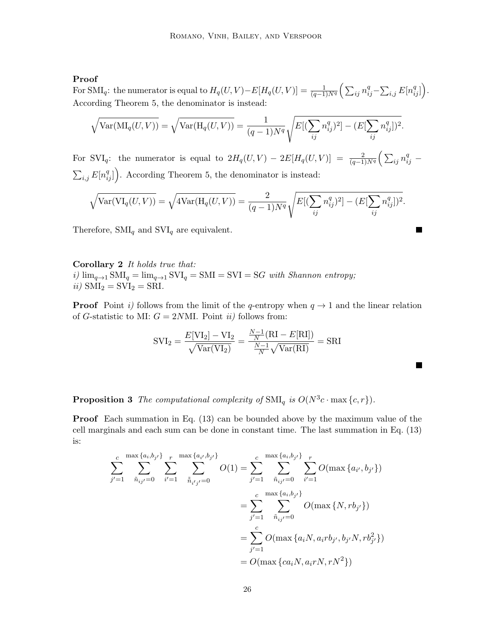## Proof

For SMI<sub>q</sub>: the numerator is equal to  $H_q(U, V) - E[H_q(U, V)] = \frac{1}{(q-1)N^q} \left( \sum_{ij} n_{ij}^q - \sum_{i,j} E[n_{ij}^q] \right)$ . According Theorem 5, the denominator is instead:

$$
\sqrt{\text{Var}(\text{MI}_q(U,V))} = \sqrt{\text{Var}(\text{H}_q(U,V))} = \frac{1}{(q-1)N^q} \sqrt{E[(\sum_{ij} n_{ij}^q)^2] - (E[\sum_{ij} n_{ij}^q])^2}.
$$

For SVI<sub>q</sub>: the numerator is equal to  $2H_q(U,V) - 2E[H_q(U,V)] = \frac{2}{(q-1)N^q} \left( \sum_{ij} n_{ij}^q - \right)$  $\sum_{i,j} E[n_{ij}^q]$ . According Theorem 5, the denominator is instead:

$$
\sqrt{\text{Var}(\text{VI}_q(U,V))} = \sqrt{4\text{Var}(\text{H}_q(U,V))} = \frac{2}{(q-1)N^q} \sqrt{E[(\sum_{ij} n_{ij}^q)^2] - (E[\sum_{ij} n_{ij}^q])^2}.
$$

 $\blacksquare$ 

ш

Therefore,  $\text{SMI}_q$  and  $\text{SVI}_q$  are equivalent.

Corollary 2 It holds true that: i)  $\lim_{q\to 1} \text{SMI}_q = \lim_{q\to 1} \text{SVI}_q = \text{SMI} = \text{SVI} = \text{SG with Shannon entropy};$ ii)  $\text{SMI}_2 = \text{SVI}_2 = \text{SRI}.$ 

**Proof** Point i) follows from the limit of the q-entropy when  $q \rightarrow 1$  and the linear relation of G-statistic to MI:  $G = 2N$ MI. Point *ii*) follows from:

$$
SVI_2 = \frac{E[VI_2] - VI_2}{\sqrt{Var(VI_2)}} = \frac{\frac{N-1}{N}(RI - E[RI])}{\frac{N-1}{N}\sqrt{Var(RI)}} = SRI
$$

**Proposition 3** The computational complexity of  $\text{SMI}_q$  is  $O(N^3c \cdot \max\{c, r\})$ .

Proof Each summation in Eq. (13) can be bounded above by the maximum value of the cell marginals and each sum can be done in constant time. The last summation in Eq. (13) is:

$$
\sum_{j'=1}^{c} \sum_{\tilde{n}_{ij'}=0}^{\max\{a_i, b_{j'}\}} \sum_{i'=1}^{r} \sum_{\tilde{n}_{i'j'}=0}^{\max\{a_{i'}, b_{j'}\}} O(1) = \sum_{j'=1}^{c} \sum_{\tilde{n}_{ij'}=0}^{\max\{a_i, b_{j'}\}} \sum_{i'=1}^{r} O(\max\{a_{i'}, b_{j'}\})
$$

$$
= \sum_{j'=1}^{c} \sum_{\tilde{n}_{ij'}=0}^{\max\{a_i, b_{j'}\}} O(\max\{N, rb_{j'}\})
$$

$$
= \sum_{j'=1}^{c} O(\max\{a_i, a_i, a_i, b_j, b_j, N, rb_{j'}^2\})
$$

$$
= O(\max\{ca_i, a_i, a_i, n, r, N, r)
$$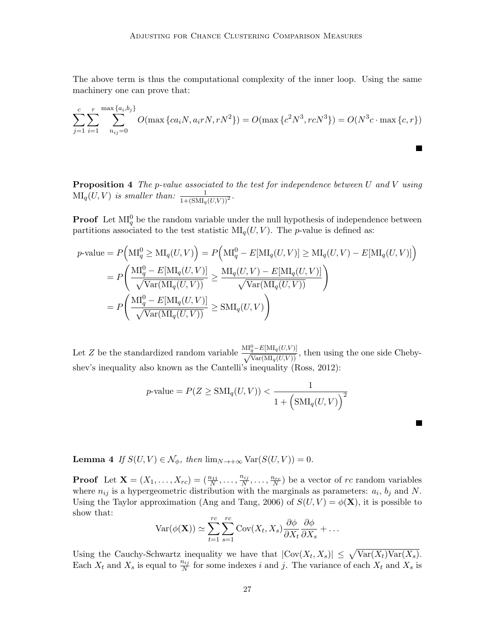The above term is thus the computational complexity of the inner loop. Using the same machinery one can prove that:

$$
\sum_{j=1}^{c} \sum_{i=1}^{r} \sum_{n_{ij}=0}^{\max\{a_i, b_j\}} O(\max\{ca_i, a_i r N, r N^2\}) = O(\max\{c^2 N^3, r c N^3\}) = O(N^3 c \cdot \max\{c, r\})
$$

Ш

П

**Proposition 4** The p-value associated to the test for independence between U and V using  $\text{MI}_q(U, V)$  is smaller than:  $\frac{1}{1+(\text{SMI}_q(U, V))^2}$ .

**Proof** Let  $\text{MI}_q^0$  be the random variable under the null hypothesis of independence between partitions associated to the test statistic  $\text{MI}_q(U, V)$ . The *p*-value is defined as:

$$
p\text{-value} = P\Big(\text{MI}_q^0 \ge \text{MI}_q(U, V)\Big) = P\Big(\text{MI}_q^0 - E[\text{MI}_q(U, V)] \ge \text{MI}_q(U, V) - E[\text{MI}_q(U, V)]\Big)
$$
  
= 
$$
P\Big(\frac{\text{MI}_q^0 - E[\text{MI}_q(U, V)]}{\sqrt{\text{Var}(\text{MI}_q(U, V))}} \ge \frac{\text{MI}_q(U, V) - E[\text{MI}_q(U, V)]}{\sqrt{\text{Var}(\text{MI}_q(U, V))}}\Big)
$$
  
= 
$$
P\Big(\frac{\text{MI}_q^0 - E[\text{MI}_q(U, V)]}{\sqrt{\text{Var}(\text{MI}_q(U, V))}} \ge \text{SMI}_q(U, V)\Big)
$$

Let Z be the standardized random variable  $\frac{M_q^0 - E[M I_q(U,V)]}{\sqrt{Var(M I_q(U,V))}}$ , then using the one side Chebyshev's inequality also known as the Cantelli's inequality (Ross, 2012):

$$
p\text{-value} = P(Z \geq \text{SMI}_q(U, V)) < \frac{1}{1 + \left(\text{SMI}_q(U, V)\right)^2}
$$

**Lemma 4** If  $S(U, V) \in \mathcal{N}_{\phi}$ , then  $\lim_{N \to +\infty} \text{Var}(S(U, V)) = 0$ .

**Proof** Let **X** =  $(X_1, ..., X_{rc}) = (\frac{n_{11}}{N}, ..., \frac{n_{ij}}{N})$  $\frac{n_{ij}}{N}, \ldots, \frac{n_{rc}}{N}$  be a vector of rc random variables where  $n_{ij}$  is a hypergeometric distribution with the marginals as parameters:  $a_i$ ,  $b_j$  and N. Using the Taylor approximation (Ang and Tang, 2006) of  $S(U, V) = \phi(\mathbf{X})$ , it is possible to show that:

$$
\text{Var}(\phi(\mathbf{X})) \simeq \sum_{t=1}^{rc} \sum_{s=1}^{rc} \text{Cov}(X_t, X_s) \frac{\partial \phi}{\partial X_t} \frac{\partial \phi}{\partial X_s} + \dots
$$

Using the Cauchy-Schwartz inequality we have that  $|\text{Cov}(X_t, X_s)| \leq \sqrt{\text{Var}(X_t)\text{Var}(X_s)}$ . Each  $X_t$  and  $X_s$  is equal to  $\frac{n_{ij}}{N}$  for some indexes i and j. The variance of each  $X_t$  and  $X_s$  is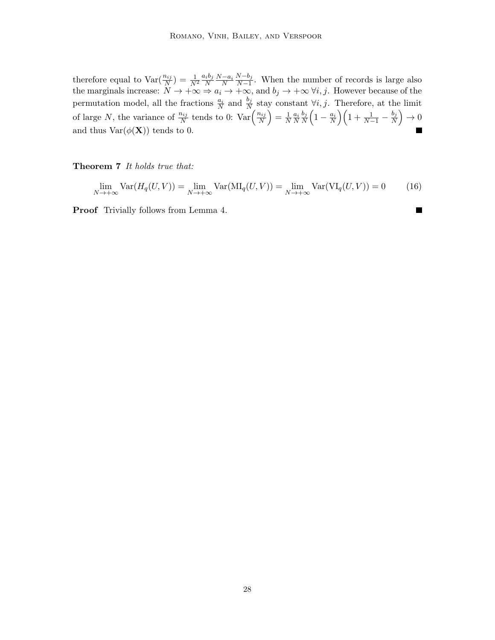therefore equal to  $\text{Var}(\frac{n_{ij}}{N}) = \frac{1}{N^2}$  $a_ib_j$  $\frac{i b_j N-a_i}{N}$  $N-b_j$  $\frac{N - b_j}{N-1}$ . When the number of records is large also the marginals increase:  $N \to +\infty \Rightarrow a_i \to +\infty$ , and  $b_j \to +\infty \forall i, j$ . However because of the permutation model, all the fractions  $\frac{a_i}{N}$  and  $\frac{b_j}{N}$  stay constant  $\forall i, j$ . Therefore, at the limit of large N, the variance of  $\frac{n_{ij}}{N}$  tends to 0:  $\text{Var}\left(\frac{n_{ij}}{N}\right)$  $\left(\frac{n_{ij}}{N}\right) = \frac{1}{N}$  $\frac{1}{N} \frac{a_i}{N}$  $b_j$  $\frac{b_j}{N}\Big(1-\frac{a_i}{N}\Big)\Big(1+\frac{1}{N-1}-\frac{b_j}{N}\Big)$  $\frac{b_j}{N}\Big)\to 0$ and thus  $\text{Var}(\phi(\mathbf{X}))$  tends to 0.

Theorem 7 It holds true that:

$$
\lim_{N \to +\infty} \text{Var}(H_q(U, V)) = \lim_{N \to +\infty} \text{Var}(\text{MI}_q(U, V)) = \lim_{N \to +\infty} \text{Var}(\text{VI}_q(U, V)) = 0 \tag{16}
$$

П

Proof Trivially follows from Lemma 4.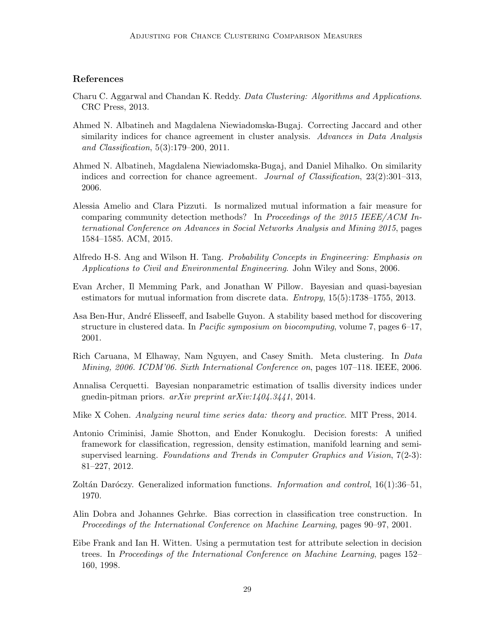## References

- Charu C. Aggarwal and Chandan K. Reddy. Data Clustering: Algorithms and Applications. CRC Press, 2013.
- Ahmed N. Albatineh and Magdalena Niewiadomska-Bugaj. Correcting Jaccard and other similarity indices for chance agreement in cluster analysis. Advances in Data Analysis and Classification, 5(3):179–200, 2011.
- Ahmed N. Albatineh, Magdalena Niewiadomska-Bugaj, and Daniel Mihalko. On similarity indices and correction for chance agreement. Journal of Classification, 23(2):301–313, 2006.
- Alessia Amelio and Clara Pizzuti. Is normalized mutual information a fair measure for comparing community detection methods? In Proceedings of the 2015 IEEE/ACM International Conference on Advances in Social Networks Analysis and Mining 2015, pages 1584–1585. ACM, 2015.
- Alfredo H-S. Ang and Wilson H. Tang. Probability Concepts in Engineering: Emphasis on Applications to Civil and Environmental Engineering. John Wiley and Sons, 2006.
- Evan Archer, Il Memming Park, and Jonathan W Pillow. Bayesian and quasi-bayesian estimators for mutual information from discrete data. Entropy, 15(5):1738–1755, 2013.
- Asa Ben-Hur, André Elisseeff, and Isabelle Guyon. A stability based method for discovering structure in clustered data. In Pacific symposium on biocomputing, volume 7, pages 6–17, 2001.
- Rich Caruana, M Elhaway, Nam Nguyen, and Casey Smith. Meta clustering. In Data Mining, 2006. ICDM'06. Sixth International Conference on, pages 107–118. IEEE, 2006.
- Annalisa Cerquetti. Bayesian nonparametric estimation of tsallis diversity indices under gnedin-pitman priors.  $arXiv$  preprint  $arXiv:1404.3441$ , 2014.
- Mike X Cohen. *Analyzing neural time series data: theory and practice.* MIT Press, 2014.
- Antonio Criminisi, Jamie Shotton, and Ender Konukoglu. Decision forests: A unified framework for classification, regression, density estimation, manifold learning and semisupervised learning. Foundations and Trends in Computer Graphics and Vision, 7(2-3): 81–227, 2012.
- Zoltán Daróczy. Generalized information functions. Information and control, 16(1):36–51, 1970.
- Alin Dobra and Johannes Gehrke. Bias correction in classification tree construction. In Proceedings of the International Conference on Machine Learning, pages 90–97, 2001.
- Eibe Frank and Ian H. Witten. Using a permutation test for attribute selection in decision trees. In Proceedings of the International Conference on Machine Learning, pages 152– 160, 1998.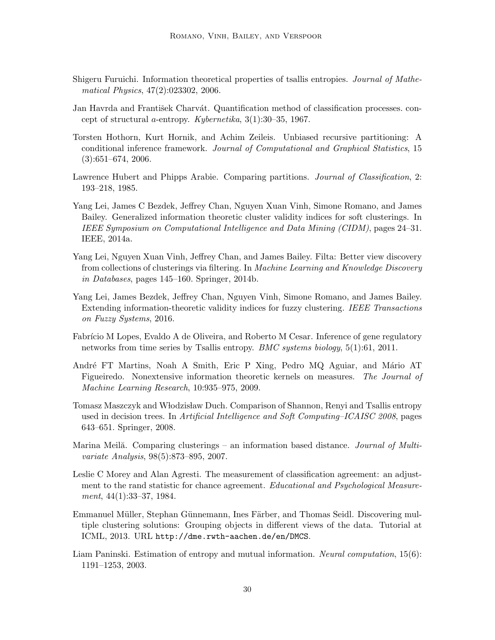- Shigeru Furuichi. Information theoretical properties of tsallis entropies. Journal of Mathematical Physics, 47(2):023302, 2006.
- Jan Havrda and František Charvát. Quantification method of classification processes. concept of structural a-entropy. Kybernetika, 3(1):30–35, 1967.
- Torsten Hothorn, Kurt Hornik, and Achim Zeileis. Unbiased recursive partitioning: A conditional inference framework. Journal of Computational and Graphical Statistics, 15  $(3):651-674, 2006.$
- Lawrence Hubert and Phipps Arabie. Comparing partitions. *Journal of Classification*, 2: 193–218, 1985.
- Yang Lei, James C Bezdek, Jeffrey Chan, Nguyen Xuan Vinh, Simone Romano, and James Bailey. Generalized information theoretic cluster validity indices for soft clusterings. In IEEE Symposium on Computational Intelligence and Data Mining (CIDM), pages 24–31. IEEE, 2014a.
- Yang Lei, Nguyen Xuan Vinh, Jeffrey Chan, and James Bailey. Filta: Better view discovery from collections of clusterings via filtering. In Machine Learning and Knowledge Discovery in Databases, pages 145–160. Springer, 2014b.
- Yang Lei, James Bezdek, Jeffrey Chan, Nguyen Vinh, Simone Romano, and James Bailey. Extending information-theoretic validity indices for fuzzy clustering. IEEE Transactions on Fuzzy Systems, 2016.
- Fabrício M Lopes, Evaldo A de Oliveira, and Roberto M Cesar. Inference of gene regulatory networks from time series by Tsallis entropy. BMC systems biology, 5(1):61, 2011.
- André FT Martins, Noah A Smith, Eric P Xing, Pedro MQ Aguiar, and Mário AT Figueiredo. Nonextensive information theoretic kernels on measures. The Journal of Machine Learning Research, 10:935–975, 2009.
- Tomasz Maszczyk and Włodzisław Duch. Comparison of Shannon, Renyi and Tsallis entropy used in decision trees. In Artificial Intelligence and Soft Computing–ICAISC 2008, pages 643–651. Springer, 2008.
- Marina Meila. Comparing clusterings an information based distance. *Journal of Multi*variate Analysis, 98(5):873–895, 2007.
- Leslie C Morey and Alan Agresti. The measurement of classification agreement: an adjustment to the rand statistic for chance agreement. Educational and Psychological Measurement, 44(1):33–37, 1984.
- Emmanuel Müller, Stephan Günnemann, Ines Färber, and Thomas Seidl. Discovering multiple clustering solutions: Grouping objects in different views of the data. Tutorial at ICML, 2013. URL http://dme.rwth-aachen.de/en/DMCS.
- Liam Paninski. Estimation of entropy and mutual information. Neural computation, 15(6): 1191–1253, 2003.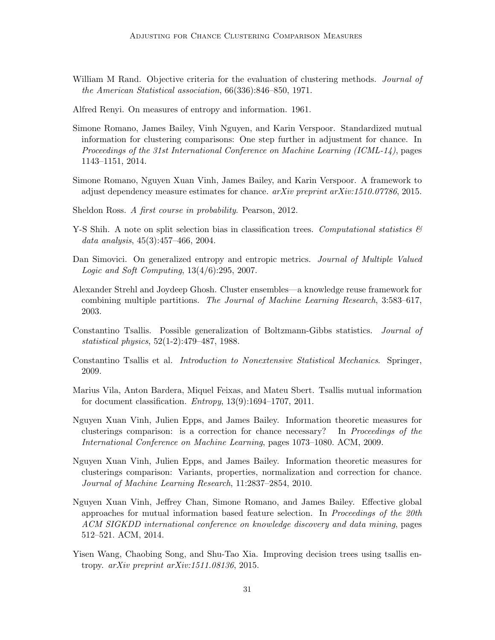- William M Rand. Objective criteria for the evaluation of clustering methods. Journal of the American Statistical association, 66(336):846–850, 1971.
- Alfred Renyi. On measures of entropy and information. 1961.
- Simone Romano, James Bailey, Vinh Nguyen, and Karin Verspoor. Standardized mutual information for clustering comparisons: One step further in adjustment for chance. In Proceedings of the 31st International Conference on Machine Learning (ICML-14), pages 1143–1151, 2014.
- Simone Romano, Nguyen Xuan Vinh, James Bailey, and Karin Verspoor. A framework to adjust dependency measure estimates for chance.  $arXiv$  preprint  $arXiv:1510.07786$ , 2015.
- Sheldon Ross. A first course in probability. Pearson, 2012.
- Y-S Shih. A note on split selection bias in classification trees. Computational statistics  $\mathcal{C}$ data analysis, 45(3):457–466, 2004.
- Dan Simovici. On generalized entropy and entropic metrics. Journal of Multiple Valued Logic and Soft Computing, 13(4/6):295, 2007.
- Alexander Strehl and Joydeep Ghosh. Cluster ensembles—a knowledge reuse framework for combining multiple partitions. The Journal of Machine Learning Research, 3:583–617, 2003.
- Constantino Tsallis. Possible generalization of Boltzmann-Gibbs statistics. Journal of statistical physics, 52(1-2):479–487, 1988.
- Constantino Tsallis et al. Introduction to Nonextensive Statistical Mechanics. Springer, 2009.
- Marius Vila, Anton Bardera, Miquel Feixas, and Mateu Sbert. Tsallis mutual information for document classification. *Entropy*,  $13(9):1694-1707$ ,  $2011$ .
- Nguyen Xuan Vinh, Julien Epps, and James Bailey. Information theoretic measures for clusterings comparison: is a correction for chance necessary? In Proceedings of the International Conference on Machine Learning, pages 1073–1080. ACM, 2009.
- Nguyen Xuan Vinh, Julien Epps, and James Bailey. Information theoretic measures for clusterings comparison: Variants, properties, normalization and correction for chance. Journal of Machine Learning Research, 11:2837–2854, 2010.
- Nguyen Xuan Vinh, Jeffrey Chan, Simone Romano, and James Bailey. Effective global approaches for mutual information based feature selection. In Proceedings of the 20th ACM SIGKDD international conference on knowledge discovery and data mining, pages 512–521. ACM, 2014.
- Yisen Wang, Chaobing Song, and Shu-Tao Xia. Improving decision trees using tsallis entropy.  $arXiv$  preprint  $arXiv:1511.08136$ , 2015.